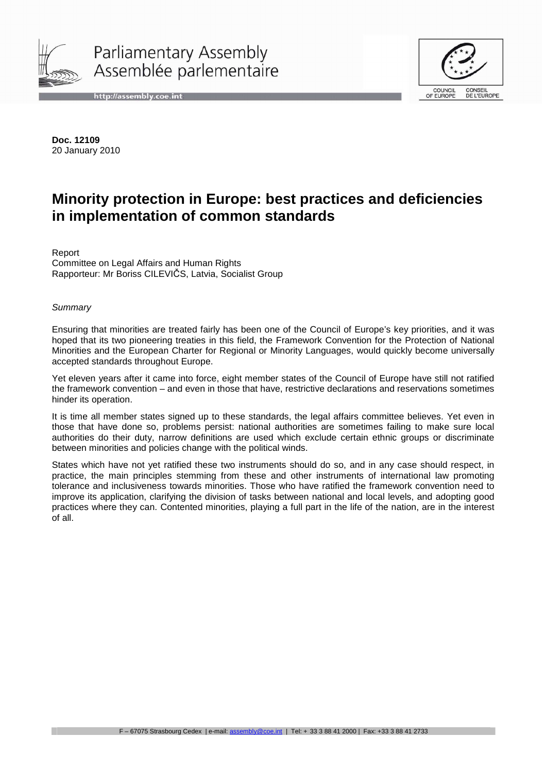

Parliamentary Assembly Assemblée parlementaire

http://assembly.coe.int



**Doc. 12109**  20 January 2010

# **Minority protection in Europe: best practices and deficiencies in implementation of common standards**

Report Committee on Legal Affairs and Human Rights Rapporteur: Mr Boriss CILEVIČS, Latvia, Socialist Group

#### **Summary**

Ensuring that minorities are treated fairly has been one of the Council of Europe's key priorities, and it was hoped that its two pioneering treaties in this field, the Framework Convention for the Protection of National Minorities and the European Charter for Regional or Minority Languages, would quickly become universally accepted standards throughout Europe.

Yet eleven years after it came into force, eight member states of the Council of Europe have still not ratified the framework convention – and even in those that have, restrictive declarations and reservations sometimes hinder its operation.

It is time all member states signed up to these standards, the legal affairs committee believes. Yet even in those that have done so, problems persist: national authorities are sometimes failing to make sure local authorities do their duty, narrow definitions are used which exclude certain ethnic groups or discriminate between minorities and policies change with the political winds.

States which have not yet ratified these two instruments should do so, and in any case should respect, in practice, the main principles stemming from these and other instruments of international law promoting tolerance and inclusiveness towards minorities. Those who have ratified the framework convention need to improve its application, clarifying the division of tasks between national and local levels, and adopting good practices where they can. Contented minorities, playing a full part in the life of the nation, are in the interest of all.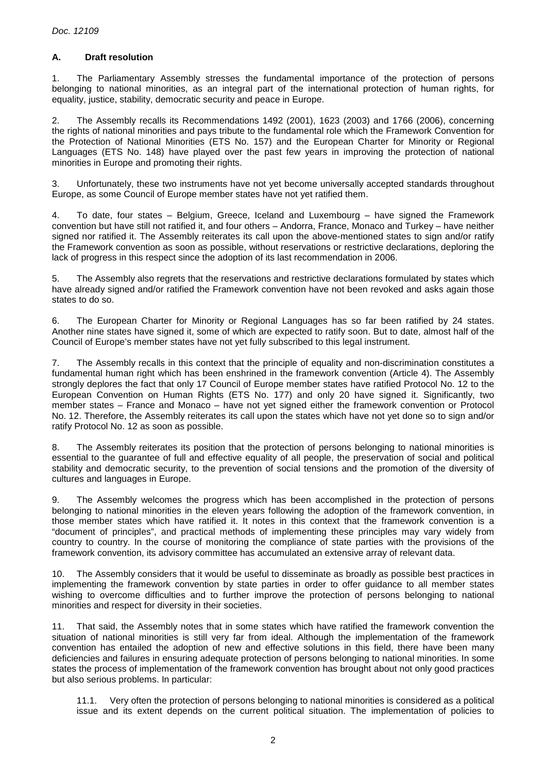# **A. Draft resolution**

1. The Parliamentary Assembly stresses the fundamental importance of the protection of persons belonging to national minorities, as an integral part of the international protection of human rights, for equality, justice, stability, democratic security and peace in Europe.

2. The Assembly recalls its Recommendations 1492 (2001), 1623 (2003) and 1766 (2006), concerning the rights of national minorities and pays tribute to the fundamental role which the Framework Convention for the Protection of National Minorities (ETS No. 157) and the European Charter for Minority or Regional Languages (ETS No. 148) have played over the past few years in improving the protection of national minorities in Europe and promoting their rights.

3. Unfortunately, these two instruments have not yet become universally accepted standards throughout Europe, as some Council of Europe member states have not yet ratified them.

4. To date, four states – Belgium, Greece, Iceland and Luxembourg – have signed the Framework convention but have still not ratified it, and four others – Andorra, France, Monaco and Turkey – have neither signed nor ratified it. The Assembly reiterates its call upon the above-mentioned states to sign and/or ratify the Framework convention as soon as possible, without reservations or restrictive declarations, deploring the lack of progress in this respect since the adoption of its last recommendation in 2006.

5. The Assembly also regrets that the reservations and restrictive declarations formulated by states which have already signed and/or ratified the Framework convention have not been revoked and asks again those states to do so.

6. The European Charter for Minority or Regional Languages has so far been ratified by 24 states. Another nine states have signed it, some of which are expected to ratify soon. But to date, almost half of the Council of Europe's member states have not yet fully subscribed to this legal instrument.

7. The Assembly recalls in this context that the principle of equality and non-discrimination constitutes a fundamental human right which has been enshrined in the framework convention (Article 4). The Assembly strongly deplores the fact that only 17 Council of Europe member states have ratified Protocol No. 12 to the European Convention on Human Rights (ETS No. 177) and only 20 have signed it. Significantly, two member states – France and Monaco – have not yet signed either the framework convention or Protocol No. 12. Therefore, the Assembly reiterates its call upon the states which have not yet done so to sign and/or ratify Protocol No. 12 as soon as possible.

8. The Assembly reiterates its position that the protection of persons belonging to national minorities is essential to the guarantee of full and effective equality of all people, the preservation of social and political stability and democratic security, to the prevention of social tensions and the promotion of the diversity of cultures and languages in Europe.

9. The Assembly welcomes the progress which has been accomplished in the protection of persons belonging to national minorities in the eleven years following the adoption of the framework convention, in those member states which have ratified it. It notes in this context that the framework convention is a "document of principles", and practical methods of implementing these principles may vary widely from country to country. In the course of monitoring the compliance of state parties with the provisions of the framework convention, its advisory committee has accumulated an extensive array of relevant data.

10. The Assembly considers that it would be useful to disseminate as broadly as possible best practices in implementing the framework convention by state parties in order to offer guidance to all member states wishing to overcome difficulties and to further improve the protection of persons belonging to national minorities and respect for diversity in their societies.

11. That said, the Assembly notes that in some states which have ratified the framework convention the situation of national minorities is still very far from ideal. Although the implementation of the framework convention has entailed the adoption of new and effective solutions in this field, there have been many deficiencies and failures in ensuring adequate protection of persons belonging to national minorities. In some states the process of implementation of the framework convention has brought about not only good practices but also serious problems. In particular:

11.1. Very often the protection of persons belonging to national minorities is considered as a political issue and its extent depends on the current political situation. The implementation of policies to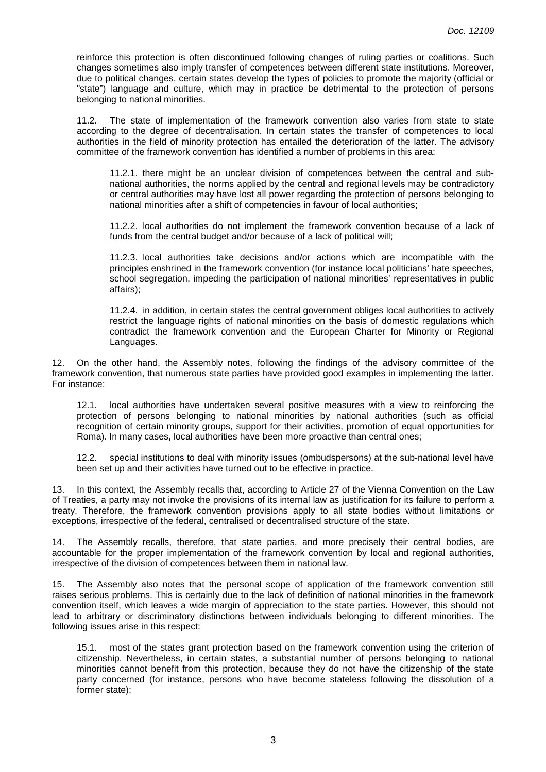reinforce this protection is often discontinued following changes of ruling parties or coalitions. Such changes sometimes also imply transfer of competences between different state institutions. Moreover, due to political changes, certain states develop the types of policies to promote the majority (official or "state") language and culture, which may in practice be detrimental to the protection of persons belonging to national minorities.

 11.2. The state of implementation of the framework convention also varies from state to state according to the degree of decentralisation. In certain states the transfer of competences to local authorities in the field of minority protection has entailed the deterioration of the latter. The advisory committee of the framework convention has identified a number of problems in this area:

11.2.1. there might be an unclear division of competences between the central and subnational authorities, the norms applied by the central and regional levels may be contradictory or central authorities may have lost all power regarding the protection of persons belonging to national minorities after a shift of competencies in favour of local authorities;

11.2.2. local authorities do not implement the framework convention because of a lack of funds from the central budget and/or because of a lack of political will;

11.2.3. local authorities take decisions and/or actions which are incompatible with the principles enshrined in the framework convention (for instance local politicians' hate speeches, school segregation, impeding the participation of national minorities' representatives in public affairs);

11.2.4. in addition, in certain states the central government obliges local authorities to actively restrict the language rights of national minorities on the basis of domestic regulations which contradict the framework convention and the European Charter for Minority or Regional Languages.

12. On the other hand, the Assembly notes, following the findings of the advisory committee of the framework convention, that numerous state parties have provided good examples in implementing the latter. For instance:

12.1. local authorities have undertaken several positive measures with a view to reinforcing the protection of persons belonging to national minorities by national authorities (such as official recognition of certain minority groups, support for their activities, promotion of equal opportunities for Roma). In many cases, local authorities have been more proactive than central ones;

12.2. special institutions to deal with minority issues (ombudspersons) at the sub-national level have been set up and their activities have turned out to be effective in practice.

13. In this context, the Assembly recalls that, according to Article 27 of the Vienna Convention on the Law of Treaties, a party may not invoke the provisions of its internal law as justification for its failure to perform a treaty. Therefore, the framework convention provisions apply to all state bodies without limitations or exceptions, irrespective of the federal, centralised or decentralised structure of the state.

14. The Assembly recalls, therefore, that state parties, and more precisely their central bodies, are accountable for the proper implementation of the framework convention by local and regional authorities, irrespective of the division of competences between them in national law.

15. The Assembly also notes that the personal scope of application of the framework convention still raises serious problems. This is certainly due to the lack of definition of national minorities in the framework convention itself, which leaves a wide margin of appreciation to the state parties. However, this should not lead to arbitrary or discriminatory distinctions between individuals belonging to different minorities. The following issues arise in this respect:

15.1. most of the states grant protection based on the framework convention using the criterion of citizenship. Nevertheless, in certain states, a substantial number of persons belonging to national minorities cannot benefit from this protection, because they do not have the citizenship of the state party concerned (for instance, persons who have become stateless following the dissolution of a former state);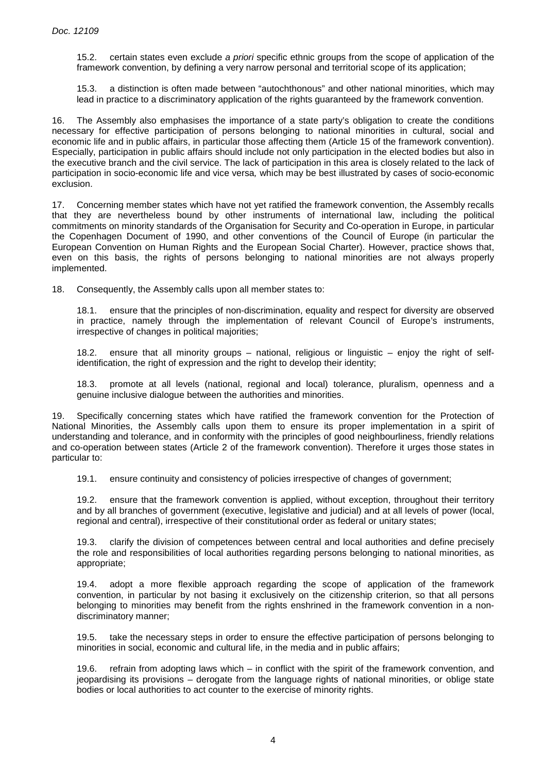15.2. certain states even exclude a priori specific ethnic groups from the scope of application of the framework convention, by defining a very narrow personal and territorial scope of its application;

15.3. a distinction is often made between "autochthonous" and other national minorities, which may lead in practice to a discriminatory application of the rights guaranteed by the framework convention.

16. The Assembly also emphasises the importance of a state party's obligation to create the conditions necessary for effective participation of persons belonging to national minorities in cultural, social and economic life and in public affairs, in particular those affecting them (Article 15 of the framework convention). Especially, participation in public affairs should include not only participation in the elected bodies but also in the executive branch and the civil service. The lack of participation in this area is closely related to the lack of participation in socio-economic life and vice versa, which may be best illustrated by cases of socio-economic exclusion.

17. Concerning member states which have not yet ratified the framework convention, the Assembly recalls that they are nevertheless bound by other instruments of international law, including the political commitments on minority standards of the Organisation for Security and Co-operation in Europe, in particular the Copenhagen Document of 1990, and other conventions of the Council of Europe (in particular the European Convention on Human Rights and the European Social Charter). However, practice shows that, even on this basis, the rights of persons belonging to national minorities are not always properly implemented.

18. Consequently, the Assembly calls upon all member states to:

18.1. ensure that the principles of non-discrimination, equality and respect for diversity are observed in practice, namely through the implementation of relevant Council of Europe's instruments, irrespective of changes in political majorities;

18.2. ensure that all minority groups – national, religious or linguistic – enjoy the right of selfidentification, the right of expression and the right to develop their identity;

18.3. promote at all levels (national, regional and local) tolerance, pluralism, openness and a genuine inclusive dialogue between the authorities and minorities.

19. Specifically concerning states which have ratified the framework convention for the Protection of National Minorities, the Assembly calls upon them to ensure its proper implementation in a spirit of understanding and tolerance, and in conformity with the principles of good neighbourliness, friendly relations and co-operation between states (Article 2 of the framework convention). Therefore it urges those states in particular to:

19.1. ensure continuity and consistency of policies irrespective of changes of government;

19.2. ensure that the framework convention is applied, without exception, throughout their territory and by all branches of government (executive, legislative and judicial) and at all levels of power (local, regional and central), irrespective of their constitutional order as federal or unitary states;

19.3. clarify the division of competences between central and local authorities and define precisely the role and responsibilities of local authorities regarding persons belonging to national minorities, as appropriate;

19.4. adopt a more flexible approach regarding the scope of application of the framework convention, in particular by not basing it exclusively on the citizenship criterion, so that all persons belonging to minorities may benefit from the rights enshrined in the framework convention in a nondiscriminatory manner;

19.5. take the necessary steps in order to ensure the effective participation of persons belonging to minorities in social, economic and cultural life, in the media and in public affairs;

19.6. refrain from adopting laws which – in conflict with the spirit of the framework convention, and jeopardising its provisions – derogate from the language rights of national minorities, or oblige state bodies or local authorities to act counter to the exercise of minority rights.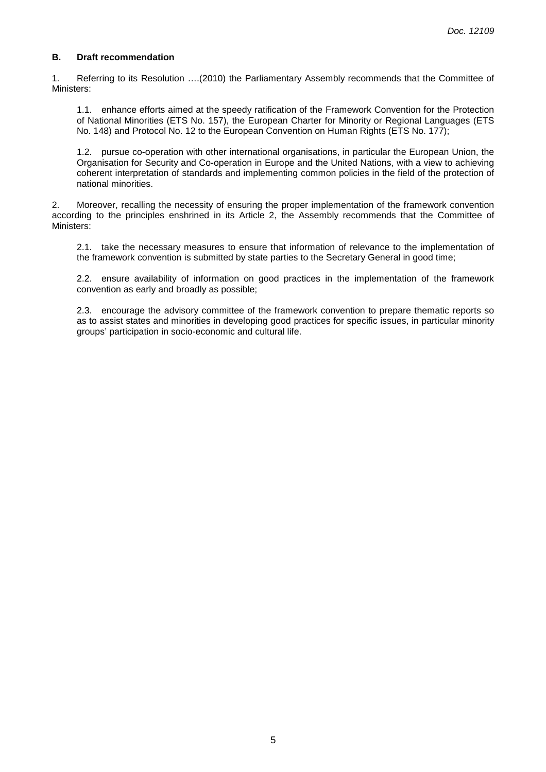# **B. Draft recommendation**

1. Referring to its Resolution ….(2010) the Parliamentary Assembly recommends that the Committee of Ministers:

1.1. enhance efforts aimed at the speedy ratification of the Framework Convention for the Protection of National Minorities (ETS No. 157), the European Charter for Minority or Regional Languages (ETS No. 148) and Protocol No. 12 to the European Convention on Human Rights (ETS No. 177);

1.2. pursue co-operation with other international organisations, in particular the European Union, the Organisation for Security and Co-operation in Europe and the United Nations, with a view to achieving coherent interpretation of standards and implementing common policies in the field of the protection of national minorities.

2. Moreover, recalling the necessity of ensuring the proper implementation of the framework convention according to the principles enshrined in its Article 2, the Assembly recommends that the Committee of Ministers:

2.1. take the necessary measures to ensure that information of relevance to the implementation of the framework convention is submitted by state parties to the Secretary General in good time;

2.2. ensure availability of information on good practices in the implementation of the framework convention as early and broadly as possible;

2.3. encourage the advisory committee of the framework convention to prepare thematic reports so as to assist states and minorities in developing good practices for specific issues, in particular minority groups' participation in socio-economic and cultural life.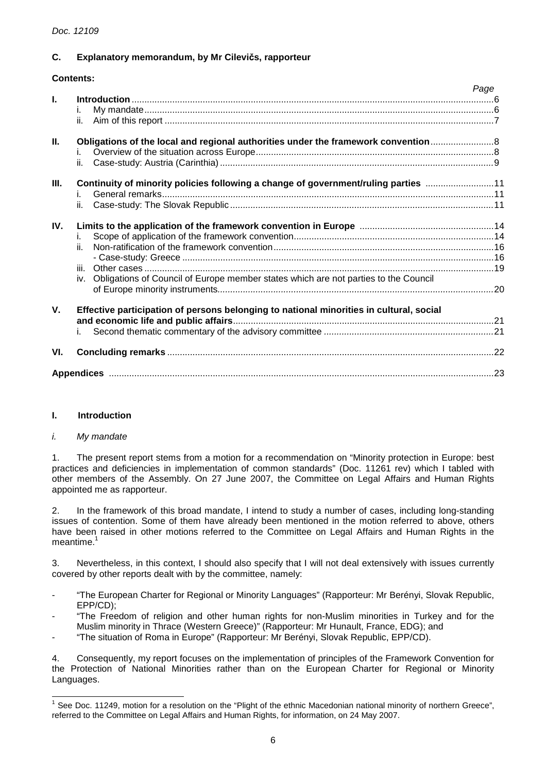# **C. Explanatory memorandum, by Mr Cilevičs, rapporteur**

# **Contents:**

|              |                                                                                            | Page |  |
|--------------|--------------------------------------------------------------------------------------------|------|--|
| $\mathbf{L}$ |                                                                                            |      |  |
|              | İ.                                                                                         |      |  |
|              | ii.                                                                                        |      |  |
| Ш.           | Obligations of the local and regional authorities under the framework convention           |      |  |
|              |                                                                                            |      |  |
|              | ii.                                                                                        |      |  |
| III.         | Continuity of minority policies following a change of government/ruling parties 11         |      |  |
|              |                                                                                            |      |  |
|              | ii.                                                                                        |      |  |
| IV.          |                                                                                            |      |  |
|              | i.                                                                                         |      |  |
|              | ii.                                                                                        |      |  |
|              |                                                                                            |      |  |
|              |                                                                                            |      |  |
|              | Obligations of Council of Europe member states which are not parties to the Council<br>iv. |      |  |
|              |                                                                                            |      |  |
| $V_{\rm c}$  | Effective participation of persons belonging to national minorities in cultural, social    |      |  |
|              |                                                                                            |      |  |
|              |                                                                                            |      |  |
| VI.          |                                                                                            |      |  |
|              |                                                                                            |      |  |

# **I. Introduction**

#### i. My mandate

 $\overline{a}$ 

1. The present report stems from a motion for a recommendation on "Minority protection in Europe: best practices and deficiencies in implementation of common standards" (Doc. 11261 rev) which I tabled with other members of the Assembly. On 27 June 2007, the Committee on Legal Affairs and Human Rights appointed me as rapporteur.

2. In the framework of this broad mandate, I intend to study a number of cases, including long-standing issues of contention. Some of them have already been mentioned in the motion referred to above, others have been raised in other motions referred to the Committee on Legal Affairs and Human Rights in the meantime.<sup>1</sup>

3. Nevertheless, in this context, I should also specify that I will not deal extensively with issues currently covered by other reports dealt with by the committee, namely:

- "The European Charter for Regional or Minority Languages" (Rapporteur: Mr Berényi, Slovak Republic, EPP/CD);
- "The Freedom of religion and other human rights for non-Muslim minorities in Turkey and for the Muslim minority in Thrace (Western Greece)" (Rapporteur: Mr Hunault, France, EDG); and
- "The situation of Roma in Europe" (Rapporteur: Mr Berényi, Slovak Republic, EPP/CD).

4. Consequently, my report focuses on the implementation of principles of the Framework Convention for the Protection of National Minorities rather than on the European Charter for Regional or Minority Languages.

<sup>1</sup> See Doc. 11249, motion for a resolution on the "Plight of the ethnic Macedonian national minority of northern Greece", referred to the Committee on Legal Affairs and Human Rights, for information, on 24 May 2007.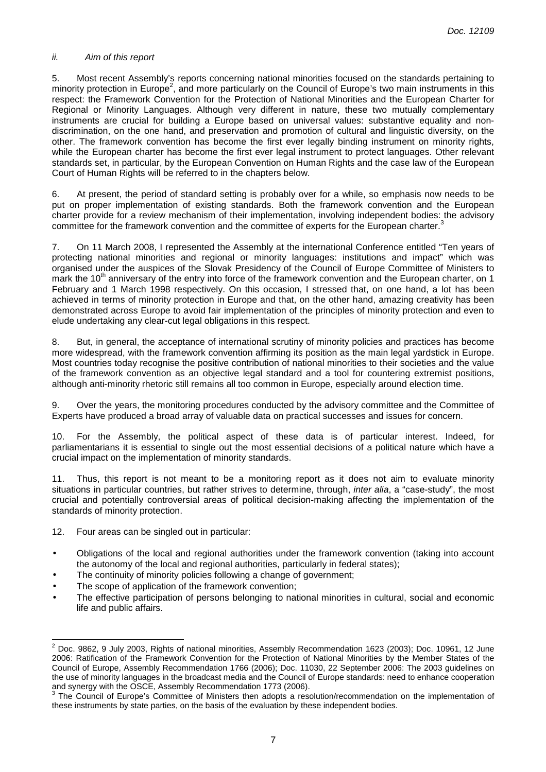## ii. Aim of this report

5. Most recent Assembly's reports concerning national minorities focused on the standards pertaining to minority protection in Europe<sup>2</sup>, and more particularly on the Council of Europe's two main instruments in this respect: the Framework Convention for the Protection of National Minorities and the European Charter for Regional or Minority Languages. Although very different in nature, these two mutually complementary instruments are crucial for building a Europe based on universal values: substantive equality and nondiscrimination, on the one hand, and preservation and promotion of cultural and linguistic diversity, on the other. The framework convention has become the first ever legally binding instrument on minority rights, while the European charter has become the first ever legal instrument to protect languages. Other relevant standards set, in particular, by the European Convention on Human Rights and the case law of the European Court of Human Rights will be referred to in the chapters below.

6. At present, the period of standard setting is probably over for a while, so emphasis now needs to be put on proper implementation of existing standards. Both the framework convention and the European charter provide for a review mechanism of their implementation, involving independent bodies: the advisory committee for the framework convention and the committee of experts for the European charter.<sup>3</sup>

7. On 11 March 2008, I represented the Assembly at the international Conference entitled "Ten years of protecting national minorities and regional or minority languages: institutions and impact" which was organised under the auspices of the Slovak Presidency of the Council of Europe Committee of Ministers to mark the 10<sup>th</sup> anniversary of the entry into force of the framework convention and the European charter, on 1 February and 1 March 1998 respectively. On this occasion, I stressed that, on one hand, a lot has been achieved in terms of minority protection in Europe and that, on the other hand, amazing creativity has been demonstrated across Europe to avoid fair implementation of the principles of minority protection and even to elude undertaking any clear-cut legal obligations in this respect.

But, in general, the acceptance of international scrutiny of minority policies and practices has become more widespread, with the framework convention affirming its position as the main legal yardstick in Europe. Most countries today recognise the positive contribution of national minorities to their societies and the value of the framework convention as an objective legal standard and a tool for countering extremist positions, although anti-minority rhetoric still remains all too common in Europe, especially around election time.

9. Over the years, the monitoring procedures conducted by the advisory committee and the Committee of Experts have produced a broad array of valuable data on practical successes and issues for concern.

10. For the Assembly, the political aspect of these data is of particular interest. Indeed, for parliamentarians it is essential to single out the most essential decisions of a political nature which have a crucial impact on the implementation of minority standards.

11. Thus, this report is not meant to be a monitoring report as it does not aim to evaluate minority situations in particular countries, but rather strives to determine, through, *inter alia*, a "case-study", the most crucial and potentially controversial areas of political decision-making affecting the implementation of the standards of minority protection.

- 12. Four areas can be singled out in particular:
- Obligations of the local and regional authorities under the framework convention (taking into account the autonomy of the local and regional authorities, particularly in federal states);
- The continuity of minority policies following a change of government;
- The scope of application of the framework convention;
- The effective participation of persons belonging to national minorities in cultural, social and economic life and public affairs.

 $\overline{a}$  $2$  Doc. 9862, 9 July 2003, Rights of national minorities, Assembly Recommendation 1623 (2003); Doc. 10961, 12 June 2006: Ratification of the Framework Convention for the Protection of National Minorities by the Member States of the Council of Europe, Assembly Recommendation 1766 (2006); Doc. 11030, 22 September 2006: The 2003 guidelines on the use of minority languages in the broadcast media and the Council of Europe standards: need to enhance cooperation and synergy with the OSCE, Assembly Recommendation 1773 (2006).

<sup>3</sup> The Council of Europe's Committee of Ministers then adopts a resolution/recommendation on the implementation of these instruments by state parties, on the basis of the evaluation by these independent bodies.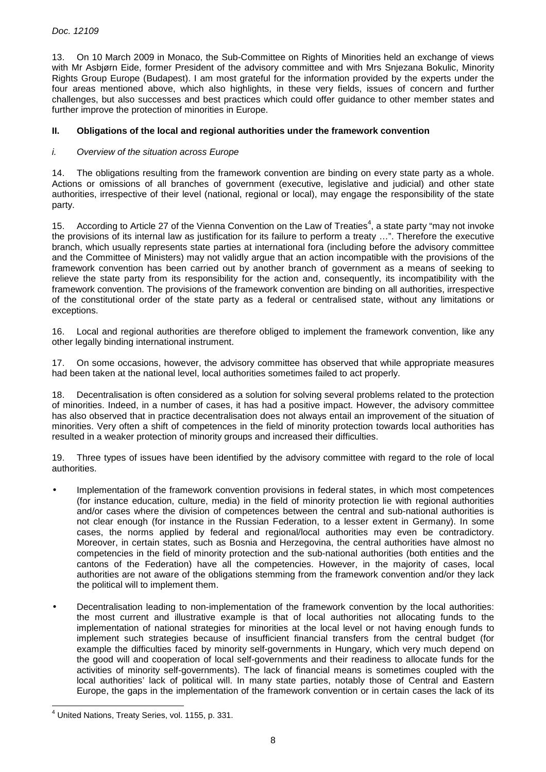13. On 10 March 2009 in Monaco, the Sub-Committee on Rights of Minorities held an exchange of views with Mr Asbjørn Eide, former President of the advisory committee and with Mrs Snjezana Bokulic, Minority Rights Group Europe (Budapest). I am most grateful for the information provided by the experts under the four areas mentioned above, which also highlights, in these very fields, issues of concern and further challenges, but also successes and best practices which could offer guidance to other member states and further improve the protection of minorities in Europe.

# **II. Obligations of the local and regional authorities under the framework convention**

# i. Overview of the situation across Europe

14. The obligations resulting from the framework convention are binding on every state party as a whole. Actions or omissions of all branches of government (executive, legislative and judicial) and other state authorities, irrespective of their level (national, regional or local), may engage the responsibility of the state party.

15. According to Article 27 of the Vienna Convention on the Law of Treaties<sup>4</sup>, a state party "may not invoke the provisions of its internal law as justification for its failure to perform a treaty …". Therefore the executive branch, which usually represents state parties at international fora (including before the advisory committee and the Committee of Ministers) may not validly argue that an action incompatible with the provisions of the framework convention has been carried out by another branch of government as a means of seeking to relieve the state party from its responsibility for the action and, consequently, its incompatibility with the framework convention. The provisions of the framework convention are binding on all authorities, irrespective of the constitutional order of the state party as a federal or centralised state, without any limitations or exceptions.

16. Local and regional authorities are therefore obliged to implement the framework convention, like any other legally binding international instrument.

17. On some occasions, however, the advisory committee has observed that while appropriate measures had been taken at the national level, local authorities sometimes failed to act properly.

18. Decentralisation is often considered as a solution for solving several problems related to the protection of minorities. Indeed, in a number of cases, it has had a positive impact. However, the advisory committee has also observed that in practice decentralisation does not always entail an improvement of the situation of minorities. Very often a shift of competences in the field of minority protection towards local authorities has resulted in a weaker protection of minority groups and increased their difficulties.

19. Three types of issues have been identified by the advisory committee with regard to the role of local authorities.

- Implementation of the framework convention provisions in federal states, in which most competences (for instance education, culture, media) in the field of minority protection lie with regional authorities and/or cases where the division of competences between the central and sub-national authorities is not clear enough (for instance in the Russian Federation, to a lesser extent in Germany). In some cases, the norms applied by federal and regional/local authorities may even be contradictory. Moreover, in certain states, such as Bosnia and Herzegovina, the central authorities have almost no competencies in the field of minority protection and the sub-national authorities (both entities and the cantons of the Federation) have all the competencies. However, in the majority of cases, local authorities are not aware of the obligations stemming from the framework convention and/or they lack the political will to implement them.
- Decentralisation leading to non-implementation of the framework convention by the local authorities: the most current and illustrative example is that of local authorities not allocating funds to the implementation of national strategies for minorities at the local level or not having enough funds to implement such strategies because of insufficient financial transfers from the central budget (for example the difficulties faced by minority self-governments in Hungary, which very much depend on the good will and cooperation of local self-governments and their readiness to allocate funds for the activities of minority self-governments). The lack of financial means is sometimes coupled with the local authorities' lack of political will. In many state parties, notably those of Central and Eastern Europe, the gaps in the implementation of the framework convention or in certain cases the lack of its

<sup>4</sup> United Nations, Treaty Series, vol. 1155, p. 331.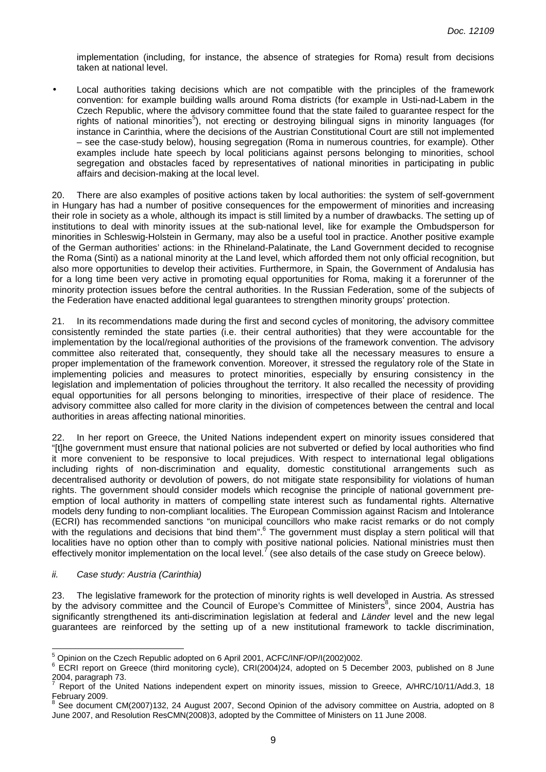implementation (including, for instance, the absence of strategies for Roma) result from decisions taken at national level.

• Local authorities taking decisions which are not compatible with the principles of the framework convention: for example building walls around Roma districts (for example in Usti-nad-Labem in the Czech Republic, where the advisory committee found that the state failed to guarantee respect for the rights of national minorities<sup>5</sup>), not erecting or destroying bilingual signs in minority languages (for instance in Carinthia, where the decisions of the Austrian Constitutional Court are still not implemented – see the case-study below), housing segregation (Roma in numerous countries, for example). Other examples include hate speech by local politicians against persons belonging to minorities, school segregation and obstacles faced by representatives of national minorities in participating in public affairs and decision-making at the local level.

20. There are also examples of positive actions taken by local authorities: the system of self-government in Hungary has had a number of positive consequences for the empowerment of minorities and increasing their role in society as a whole, although its impact is still limited by a number of drawbacks. The setting up of institutions to deal with minority issues at the sub-national level, like for example the Ombudsperson for minorities in Schleswig-Holstein in Germany, may also be a useful tool in practice. Another positive example of the German authorities' actions: in the Rhineland-Palatinate, the Land Government decided to recognise the Roma (Sinti) as a national minority at the Land level, which afforded them not only official recognition, but also more opportunities to develop their activities. Furthermore, in Spain, the Government of Andalusia has for a long time been very active in promoting equal opportunities for Roma, making it a forerunner of the minority protection issues before the central authorities. In the Russian Federation, some of the subjects of the Federation have enacted additional legal guarantees to strengthen minority groups' protection.

21. In its recommendations made during the first and second cycles of monitoring, the advisory committee consistently reminded the state parties (i.e. their central authorities) that they were accountable for the implementation by the local/regional authorities of the provisions of the framework convention. The advisory committee also reiterated that, consequently, they should take all the necessary measures to ensure a proper implementation of the framework convention. Moreover, it stressed the regulatory role of the State in implementing policies and measures to protect minorities, especially by ensuring consistency in the legislation and implementation of policies throughout the territory. It also recalled the necessity of providing equal opportunities for all persons belonging to minorities, irrespective of their place of residence. The advisory committee also called for more clarity in the division of competences between the central and local authorities in areas affecting national minorities.

22. In her report on Greece, the United Nations independent expert on minority issues considered that "[t]he government must ensure that national policies are not subverted or defied by local authorities who find it more convenient to be responsive to local prejudices. With respect to international legal obligations including rights of non-discrimination and equality, domestic constitutional arrangements such as decentralised authority or devolution of powers, do not mitigate state responsibility for violations of human rights. The government should consider models which recognise the principle of national government preemption of local authority in matters of compelling state interest such as fundamental rights. Alternative models deny funding to non-compliant localities. The European Commission against Racism and Intolerance (ECRI) has recommended sanctions "on municipal councillors who make racist remarks or do not comply with the regulations and decisions that bind them".<sup>6</sup> The government must display a stern political will that localities have no option other than to comply with positive national policies. National ministries must then effectively monitor implementation on the local level.<sup>7</sup> (see also details of the case study on Greece below).

#### ii. Case study: Austria (Carinthia)

23. The legislative framework for the protection of minority rights is well developed in Austria. As stressed by the advisory committee and the Council of Europe's Committee of Ministers<sup>8</sup>, since 2004, Austria has significantly strengthened its anti-discrimination legislation at federal and Länder level and the new legal guarantees are reinforced by the setting up of a new institutional framework to tackle discrimination,

 5 Opinion on the Czech Republic adopted on 6 April 2001, ACFC/INF/OP/I(2002)002.

<sup>&</sup>lt;sup>6</sup> ECRI report on Greece (third monitoring cycle), CRI(2004)24, adopted on 5 December 2003, published on 8 June 2004, paragraph 73.

<sup>7</sup> Report of the United Nations independent expert on minority issues, mission to Greece, A/HRC/10/11/Add.3, 18 February 2009.<br><sup>8</sup> See deeumen

See document CM(2007)132, 24 August 2007, Second Opinion of the advisory committee on Austria, adopted on 8 June 2007, and Resolution ResCMN(2008)3, adopted by the Committee of Ministers on 11 June 2008.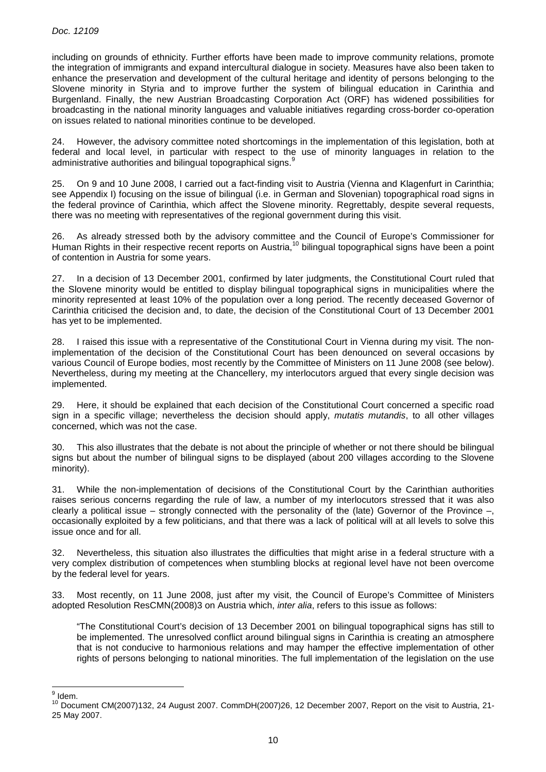including on grounds of ethnicity. Further efforts have been made to improve community relations, promote the integration of immigrants and expand intercultural dialogue in society. Measures have also been taken to enhance the preservation and development of the cultural heritage and identity of persons belonging to the Slovene minority in Styria and to improve further the system of bilingual education in Carinthia and Burgenland. Finally, the new Austrian Broadcasting Corporation Act (ORF) has widened possibilities for broadcasting in the national minority languages and valuable initiatives regarding cross-border co-operation on issues related to national minorities continue to be developed.

24. However, the advisory committee noted shortcomings in the implementation of this legislation, both at federal and local level, in particular with respect to the use of minority languages in relation to the administrative authorities and bilingual topographical signs.<sup>9</sup>

25. On 9 and 10 June 2008, I carried out a fact-finding visit to Austria (Vienna and Klagenfurt in Carinthia; see Appendix I) focusing on the issue of bilingual (i.e. in German and Slovenian) topographical road signs in the federal province of Carinthia, which affect the Slovene minority. Regrettably, despite several requests, there was no meeting with representatives of the regional government during this visit.

26. As already stressed both by the advisory committee and the Council of Europe's Commissioner for Human Rights in their respective recent reports on Austria,<sup>10</sup> bilingual topographical signs have been a point of contention in Austria for some years.

27. In a decision of 13 December 2001, confirmed by later judgments, the Constitutional Court ruled that the Slovene minority would be entitled to display bilingual topographical signs in municipalities where the minority represented at least 10% of the population over a long period. The recently deceased Governor of Carinthia criticised the decision and, to date, the decision of the Constitutional Court of 13 December 2001 has yet to be implemented.

I raised this issue with a representative of the Constitutional Court in Vienna during my visit. The nonimplementation of the decision of the Constitutional Court has been denounced on several occasions by various Council of Europe bodies, most recently by the Committee of Ministers on 11 June 2008 (see below). Nevertheless, during my meeting at the Chancellery, my interlocutors argued that every single decision was implemented.

29. Here, it should be explained that each decision of the Constitutional Court concerned a specific road sign in a specific village; nevertheless the decision should apply, *mutatis mutandis*, to all other villages concerned, which was not the case.

30. This also illustrates that the debate is not about the principle of whether or not there should be bilingual signs but about the number of bilingual signs to be displayed (about 200 villages according to the Slovene minority).

31. While the non-implementation of decisions of the Constitutional Court by the Carinthian authorities raises serious concerns regarding the rule of law, a number of my interlocutors stressed that it was also clearly a political issue – strongly connected with the personality of the (late) Governor of the Province –, occasionally exploited by a few politicians, and that there was a lack of political will at all levels to solve this issue once and for all.

32. Nevertheless, this situation also illustrates the difficulties that might arise in a federal structure with a very complex distribution of competences when stumbling blocks at regional level have not been overcome by the federal level for years.

33. Most recently, on 11 June 2008, just after my visit, the Council of Europe's Committee of Ministers adopted Resolution ResCMN(2008)3 on Austria which, inter alia, refers to this issue as follows:

"The Constitutional Court's decision of 13 December 2001 on bilingual topographical signs has still to be implemented. The unresolved conflict around bilingual signs in Carinthia is creating an atmosphere that is not conducive to harmonious relations and may hamper the effective implementation of other rights of persons belonging to national minorities. The full implementation of the legislation on the use

<sup>&</sup>lt;sub>9</sub><br><sup>9</sup> Idem.

<sup>&</sup>lt;sup>10</sup> Document CM(2007)132, 24 August 2007. CommDH(2007)26, 12 December 2007, Report on the visit to Austria, 21-25 May 2007.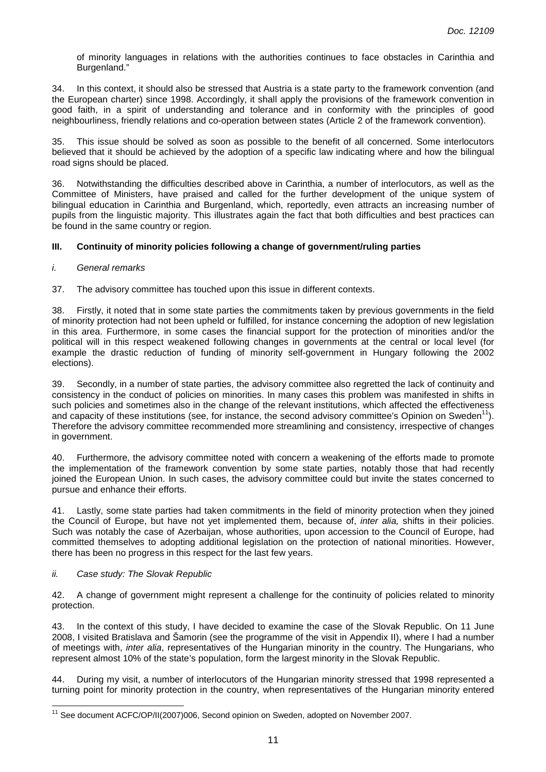of minority languages in relations with the authorities continues to face obstacles in Carinthia and Burgenland."

34. In this context, it should also be stressed that Austria is a state party to the framework convention (and the European charter) since 1998. Accordingly, it shall apply the provisions of the framework convention in good faith, in a spirit of understanding and tolerance and in conformity with the principles of good neighbourliness, friendly relations and co-operation between states (Article 2 of the framework convention).

This issue should be solved as soon as possible to the benefit of all concerned. Some interlocutors believed that it should be achieved by the adoption of a specific law indicating where and how the bilingual road signs should be placed.

36. Notwithstanding the difficulties described above in Carinthia, a number of interlocutors, as well as the Committee of Ministers, have praised and called for the further development of the unique system of bilingual education in Carinthia and Burgenland, which, reportedly, even attracts an increasing number of pupils from the linguistic majority. This illustrates again the fact that both difficulties and best practices can be found in the same country or region.

# **III. Continuity of minority policies following a change of government/ruling parties**

#### i. General remarks

37. The advisory committee has touched upon this issue in different contexts.

38. Firstly, it noted that in some state parties the commitments taken by previous governments in the field of minority protection had not been upheld or fulfilled, for instance concerning the adoption of new legislation in this area. Furthermore, in some cases the financial support for the protection of minorities and/or the political will in this respect weakened following changes in governments at the central or local level (for example the drastic reduction of funding of minority self-government in Hungary following the 2002 elections).

39. Secondly, in a number of state parties, the advisory committee also regretted the lack of continuity and consistency in the conduct of policies on minorities. In many cases this problem was manifested in shifts in such policies and sometimes also in the change of the relevant institutions, which affected the effectiveness and capacity of these institutions (see, for instance, the second advisory committee's Opinion on Sweden<sup>11</sup>). Therefore the advisory committee recommended more streamlining and consistency, irrespective of changes in government.

40. Furthermore, the advisory committee noted with concern a weakening of the efforts made to promote the implementation of the framework convention by some state parties, notably those that had recently joined the European Union. In such cases, the advisory committee could but invite the states concerned to pursue and enhance their efforts.

41. Lastly, some state parties had taken commitments in the field of minority protection when they joined the Council of Europe, but have not yet implemented them, because of, inter alia, shifts in their policies. Such was notably the case of Azerbaijan, whose authorities, upon accession to the Council of Europe, had committed themselves to adopting additional legislation on the protection of national minorities. However, there has been no progress in this respect for the last few years.

#### ii. Case study: The Slovak Republic

 $\overline{a}$ 

42. A change of government might represent a challenge for the continuity of policies related to minority protection.

43. In the context of this study, I have decided to examine the case of the Slovak Republic. On 11 June 2008, I visited Bratislava and Šamorin (see the programme of the visit in Appendix II), where I had a number of meetings with, inter alia, representatives of the Hungarian minority in the country. The Hungarians, who represent almost 10% of the state's population, form the largest minority in the Slovak Republic.

44. During my visit, a number of interlocutors of the Hungarian minority stressed that 1998 represented a turning point for minority protection in the country, when representatives of the Hungarian minority entered

<sup>&</sup>lt;sup>11</sup> See document ACFC/OP/II(2007)006, Second opinion on Sweden, adopted on November 2007.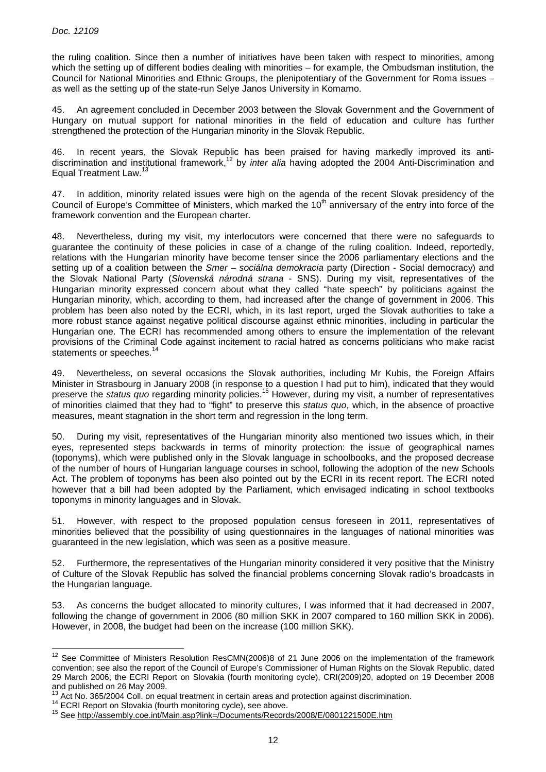the ruling coalition. Since then a number of initiatives have been taken with respect to minorities, among which the setting up of different bodies dealing with minorities – for example, the Ombudsman institution, the Council for National Minorities and Ethnic Groups, the plenipotentiary of the Government for Roma issues – as well as the setting up of the state-run Selye Janos University in Komarno.

45. An agreement concluded in December 2003 between the Slovak Government and the Government of Hungary on mutual support for national minorities in the field of education and culture has further strengthened the protection of the Hungarian minority in the Slovak Republic.

46. In recent years, the Slovak Republic has been praised for having markedly improved its antidiscrimination and institutional framework,<sup>12</sup> by *inter alia* having adopted the 2004 Anti-Discrimination and Equal Treatment Law.<sup>13</sup>

47. In addition, minority related issues were high on the agenda of the recent Slovak presidency of the Council of Europe's Committee of Ministers, which marked the 10<sup>th</sup> anniversary of the entry into force of the framework convention and the European charter.

48. Nevertheless, during my visit, my interlocutors were concerned that there were no safeguards to guarantee the continuity of these policies in case of a change of the ruling coalition. Indeed, reportedly, relations with the Hungarian minority have become tenser since the 2006 parliamentary elections and the setting up of a coalition between the Smer - sociálna demokracia party (Direction - Social democracy) and the Slovak National Party (Slovenská národná strana - SNS). During my visit, representatives of the Hungarian minority expressed concern about what they called "hate speech" by politicians against the Hungarian minority, which, according to them, had increased after the change of government in 2006. This problem has been also noted by the ECRI, which, in its last report, urged the Slovak authorities to take a more robust stance against negative political discourse against ethnic minorities, including in particular the Hungarian one. The ECRI has recommended among others to ensure the implementation of the relevant provisions of the Criminal Code against incitement to racial hatred as concerns politicians who make racist statements or speeches.<sup>14</sup>

49. Nevertheless, on several occasions the Slovak authorities, including Mr Kubis, the Foreign Affairs Minister in Strasbourg in January 2008 (in response to a question I had put to him), indicated that they would preserve the status quo regarding minority policies.<sup>15</sup> However, during my visit, a number of representatives of minorities claimed that they had to "fight" to preserve this status quo, which, in the absence of proactive measures, meant stagnation in the short term and regression in the long term.

50. During my visit, representatives of the Hungarian minority also mentioned two issues which, in their eyes, represented steps backwards in terms of minority protection: the issue of geographical names (toponyms), which were published only in the Slovak language in schoolbooks, and the proposed decrease of the number of hours of Hungarian language courses in school, following the adoption of the new Schools Act. The problem of toponyms has been also pointed out by the ECRI in its recent report. The ECRI noted however that a bill had been adopted by the Parliament, which envisaged indicating in school textbooks toponyms in minority languages and in Slovak.

51. However, with respect to the proposed population census foreseen in 2011, representatives of minorities believed that the possibility of using questionnaires in the languages of national minorities was guaranteed in the new legislation, which was seen as a positive measure.

52. Furthermore, the representatives of the Hungarian minority considered it very positive that the Ministry of Culture of the Slovak Republic has solved the financial problems concerning Slovak radio's broadcasts in the Hungarian language.

53. As concerns the budget allocated to minority cultures, I was informed that it had decreased in 2007, following the change of government in 2006 (80 million SKK in 2007 compared to 160 million SKK in 2006). However, in 2008, the budget had been on the increase (100 million SKK).

l

 $12$  See Committee of Ministers Resolution ResCMN(2006)8 of 21 June 2006 on the implementation of the framework convention; see also the report of the Council of Europe's Commissioner of Human Rights on the Slovak Republic, dated 29 March 2006; the ECRI Report on Slovakia (fourth monitoring cycle), CRI(2009)20, adopted on 19 December 2008 and published on 26 May 2009.

Act No. 365/2004 Coll. on equal treatment in certain areas and protection against discrimination.

<sup>14</sup> ECRI Report on Slovakia (fourth monitoring cycle), see above.

<sup>&</sup>lt;sup>15</sup> See http://assembly.coe.int/Main.asp?link=/Documents/Records/2008/E/0801221500E.htm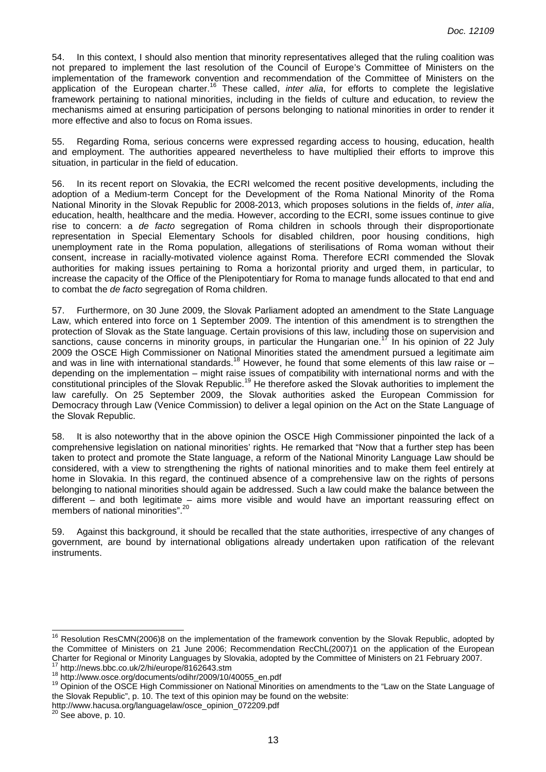54. In this context, I should also mention that minority representatives alleged that the ruling coalition was not prepared to implement the last resolution of the Council of Europe's Committee of Ministers on the implementation of the framework convention and recommendation of the Committee of Ministers on the application of the European charter.<sup>16</sup> These called, *inter alia*, for efforts to complete the legislative framework pertaining to national minorities, including in the fields of culture and education, to review the mechanisms aimed at ensuring participation of persons belonging to national minorities in order to render it more effective and also to focus on Roma issues.

55. Regarding Roma, serious concerns were expressed regarding access to housing, education, health and employment. The authorities appeared nevertheless to have multiplied their efforts to improve this situation, in particular in the field of education.

56. In its recent report on Slovakia, the ECRI welcomed the recent positive developments, including the adoption of a Medium-term Concept for the Development of the Roma National Minority of the Roma National Minority in the Slovak Republic for 2008-2013, which proposes solutions in the fields of, inter alia, education, health, healthcare and the media. However, according to the ECRI, some issues continue to give rise to concern: a de facto segregation of Roma children in schools through their disproportionate representation in Special Elementary Schools for disabled children, poor housing conditions, high unemployment rate in the Roma population, allegations of sterilisations of Roma woman without their consent, increase in racially-motivated violence against Roma. Therefore ECRI commended the Slovak authorities for making issues pertaining to Roma a horizontal priority and urged them, in particular, to increase the capacity of the Office of the Plenipotentiary for Roma to manage funds allocated to that end and to combat the de facto segregation of Roma children.

57. Furthermore, on 30 June 2009, the Slovak Parliament adopted an amendment to the State Language Law, which entered into force on 1 September 2009. The intention of this amendment is to strengthen the protection of Slovak as the State language. Certain provisions of this law, including those on supervision and sanctions, cause concerns in minority groups, in particular the Hungarian one.<sup>17</sup> In his opinion of 22 July 2009 the OSCE High Commissioner on National Minorities stated the amendment pursued a legitimate aim and was in line with international standards.<sup>18</sup> However, he found that some elements of this law raise or  $$ depending on the implementation – might raise issues of compatibility with international norms and with the constitutional principles of the Slovak Republic.<sup>19</sup> He therefore asked the Slovak authorities to implement the law carefully. On 25 September 2009, the Slovak authorities asked the European Commission for Democracy through Law (Venice Commission) to deliver a legal opinion on the Act on the State Language of the Slovak Republic.

58. It is also noteworthy that in the above opinion the OSCE High Commissioner pinpointed the lack of a comprehensive legislation on national minorities' rights. He remarked that "Now that a further step has been taken to protect and promote the State language, a reform of the National Minority Language Law should be considered, with a view to strengthening the rights of national minorities and to make them feel entirely at home in Slovakia. In this regard, the continued absence of a comprehensive law on the rights of persons belonging to national minorities should again be addressed. Such a law could make the balance between the different – and both legitimate – aims more visible and would have an important reassuring effect on members of national minorities".<sup>20</sup>

59. Against this background, it should be recalled that the state authorities, irrespective of any changes of government, are bound by international obligations already undertaken upon ratification of the relevant instruments.

<sup>&</sup>lt;sup>16</sup> Resolution ResCMN(2006)8 on the implementation of the framework convention by the Slovak Republic, adopted by the Committee of Ministers on 21 June 2006; Recommendation RecChL(2007)1 on the application of the European Charter for Regional or Minority Languages by Slovakia, adopted by the Committee of Ministers on 21 February 2007. <sup>17</sup> http://news.bbc.co.uk/2/hi/europe/8162643.stm

<sup>18</sup> http://www.osce.org/documents/odihr/2009/10/40055\_en.pdf

<sup>&</sup>lt;sup>19</sup> Opinion of the OSCE High Commissioner on National Minorities on amendments to the "Law on the State Language of the Slovak Republic", p. 10. The text of this opinion may be found on the website:

http://www.hacusa.org/languagelaw/osce\_opinion\_072209.pdf

 $20$  See above, p. 10.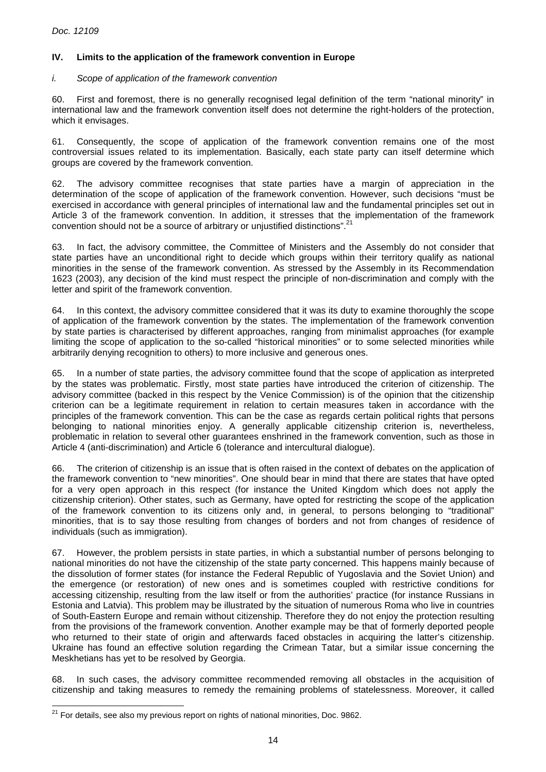# **IV. Limits to the application of the framework convention in Europe**

## i. Scope of application of the framework convention

60. First and foremost, there is no generally recognised legal definition of the term "national minority" in international law and the framework convention itself does not determine the right-holders of the protection, which it envisages.

61. Consequently, the scope of application of the framework convention remains one of the most controversial issues related to its implementation. Basically, each state party can itself determine which groups are covered by the framework convention.

62. The advisory committee recognises that state parties have a margin of appreciation in the determination of the scope of application of the framework convention. However, such decisions "must be exercised in accordance with general principles of international law and the fundamental principles set out in Article 3 of the framework convention. In addition, it stresses that the implementation of the framework convention should not be a source of arbitrary or unjustified distinctions".<sup>21</sup>

63. In fact, the advisory committee, the Committee of Ministers and the Assembly do not consider that state parties have an unconditional right to decide which groups within their territory qualify as national minorities in the sense of the framework convention. As stressed by the Assembly in its Recommendation 1623 (2003), any decision of the kind must respect the principle of non-discrimination and comply with the letter and spirit of the framework convention.

64. In this context, the advisory committee considered that it was its duty to examine thoroughly the scope of application of the framework convention by the states. The implementation of the framework convention by state parties is characterised by different approaches, ranging from minimalist approaches (for example limiting the scope of application to the so-called "historical minorities" or to some selected minorities while arbitrarily denying recognition to others) to more inclusive and generous ones.

In a number of state parties, the advisory committee found that the scope of application as interpreted by the states was problematic. Firstly, most state parties have introduced the criterion of citizenship. The advisory committee (backed in this respect by the Venice Commission) is of the opinion that the citizenship criterion can be a legitimate requirement in relation to certain measures taken in accordance with the principles of the framework convention. This can be the case as regards certain political rights that persons belonging to national minorities enjoy. A generally applicable citizenship criterion is, nevertheless, problematic in relation to several other guarantees enshrined in the framework convention, such as those in Article 4 (anti-discrimination) and Article 6 (tolerance and intercultural dialogue).

66. The criterion of citizenship is an issue that is often raised in the context of debates on the application of the framework convention to "new minorities". One should bear in mind that there are states that have opted for a very open approach in this respect (for instance the United Kingdom which does not apply the citizenship criterion). Other states, such as Germany, have opted for restricting the scope of the application of the framework convention to its citizens only and, in general, to persons belonging to "traditional" minorities, that is to say those resulting from changes of borders and not from changes of residence of individuals (such as immigration).

67. However, the problem persists in state parties, in which a substantial number of persons belonging to national minorities do not have the citizenship of the state party concerned. This happens mainly because of the dissolution of former states (for instance the Federal Republic of Yugoslavia and the Soviet Union) and the emergence (or restoration) of new ones and is sometimes coupled with restrictive conditions for accessing citizenship, resulting from the law itself or from the authorities' practice (for instance Russians in Estonia and Latvia). This problem may be illustrated by the situation of numerous Roma who live in countries of South-Eastern Europe and remain without citizenship. Therefore they do not enjoy the protection resulting from the provisions of the framework convention. Another example may be that of formerly deported people who returned to their state of origin and afterwards faced obstacles in acquiring the latter's citizenship. Ukraine has found an effective solution regarding the Crimean Tatar, but a similar issue concerning the Meskhetians has yet to be resolved by Georgia.

In such cases, the advisory committee recommended removing all obstacles in the acquisition of citizenship and taking measures to remedy the remaining problems of statelessness. Moreover, it called

 $^{21}$  For details, see also my previous report on rights of national minorities, Doc. 9862.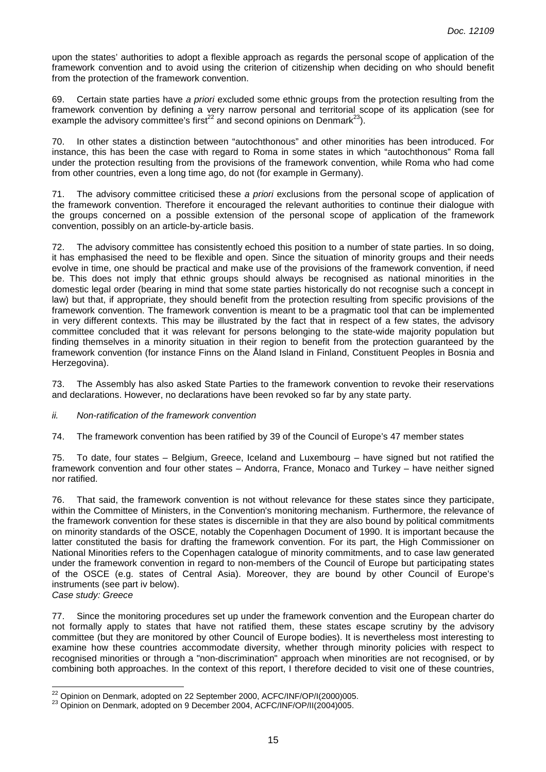upon the states' authorities to adopt a flexible approach as regards the personal scope of application of the framework convention and to avoid using the criterion of citizenship when deciding on who should benefit from the protection of the framework convention.

69. Certain state parties have a priori excluded some ethnic groups from the protection resulting from the framework convention by defining a very narrow personal and territorial scope of its application (see for example the advisory committee's first<sup>22</sup> and second opinions on Denmark<sup>23</sup>).

70. In other states a distinction between "autochthonous" and other minorities has been introduced. For instance, this has been the case with regard to Roma in some states in which "autochthonous" Roma fall under the protection resulting from the provisions of the framework convention, while Roma who had come from other countries, even a long time ago, do not (for example in Germany).

71. The advisory committee criticised these a priori exclusions from the personal scope of application of the framework convention. Therefore it encouraged the relevant authorities to continue their dialogue with the groups concerned on a possible extension of the personal scope of application of the framework convention, possibly on an article-by-article basis.

72. The advisory committee has consistently echoed this position to a number of state parties. In so doing, it has emphasised the need to be flexible and open. Since the situation of minority groups and their needs evolve in time, one should be practical and make use of the provisions of the framework convention, if need be. This does not imply that ethnic groups should always be recognised as national minorities in the domestic legal order (bearing in mind that some state parties historically do not recognise such a concept in law) but that, if appropriate, they should benefit from the protection resulting from specific provisions of the framework convention. The framework convention is meant to be a pragmatic tool that can be implemented in very different contexts. This may be illustrated by the fact that in respect of a few states, the advisory committee concluded that it was relevant for persons belonging to the state-wide majority population but finding themselves in a minority situation in their region to benefit from the protection guaranteed by the framework convention (for instance Finns on the Åland Island in Finland, Constituent Peoples in Bosnia and Herzegovina).

73. The Assembly has also asked State Parties to the framework convention to revoke their reservations and declarations. However, no declarations have been revoked so far by any state party.

ii. Non-ratification of the framework convention

74. The framework convention has been ratified by 39 of the Council of Europe's 47 member states

75. To date, four states – Belgium, Greece, Iceland and Luxembourg – have signed but not ratified the framework convention and four other states – Andorra, France, Monaco and Turkey – have neither signed nor ratified.

76. That said, the framework convention is not without relevance for these states since they participate, within the Committee of Ministers, in the Convention's monitoring mechanism. Furthermore, the relevance of the framework convention for these states is discernible in that they are also bound by political commitments on minority standards of the OSCE, notably the Copenhagen Document of 1990. It is important because the latter constituted the basis for drafting the framework convention. For its part, the High Commissioner on National Minorities refers to the Copenhagen catalogue of minority commitments, and to case law generated under the framework convention in regard to non-members of the Council of Europe but participating states of the OSCE (e.g. states of Central Asia). Moreover, they are bound by other Council of Europe's instruments (see part iv below).

Case study: Greece

 $\overline{a}$ 

77. Since the monitoring procedures set up under the framework convention and the European charter do not formally apply to states that have not ratified them, these states escape scrutiny by the advisory committee (but they are monitored by other Council of Europe bodies). It is nevertheless most interesting to examine how these countries accommodate diversity, whether through minority policies with respect to recognised minorities or through a "non-discrimination" approach when minorities are not recognised, or by combining both approaches. In the context of this report, I therefore decided to visit one of these countries,

 $^{22}$  Opinion on Denmark, adopted on 22 September 2000, ACFC/INF/OP/I(2000)005.

 $^{23}$  Opinion on Denmark, adopted on 9 December 2004, ACFC/INF/OP/II(2004)005.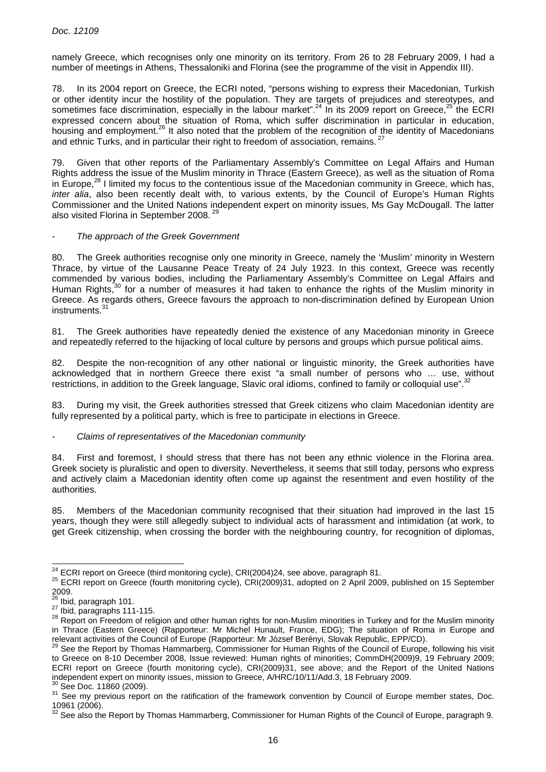namely Greece, which recognises only one minority on its territory. From 26 to 28 February 2009, I had a number of meetings in Athens, Thessaloniki and Florina (see the programme of the visit in Appendix III).

78. In its 2004 report on Greece, the ECRI noted, "persons wishing to express their Macedonian, Turkish or other identity incur the hostility of the population. They are targets of prejudices and stereotypes, and sometimes face discrimination, especially in the labour market".<sup>24</sup> In its 2009 report on Greece,<sup>25</sup> the ECRI expressed concern about the situation of Roma, which suffer discrimination in particular in education, housing and employment.<sup>26</sup> It also noted that the problem of the recognition of the identity of Macedonians and ethnic Turks, and in particular their right to freedom of association, remains.<sup>27</sup>

79. Given that other reports of the Parliamentary Assembly's Committee on Legal Affairs and Human Rights address the issue of the Muslim minority in Thrace (Eastern Greece), as well as the situation of Roma in Europe, $^{28}$  I limited my focus to the contentious issue of the Macedonian community in Greece, which has, inter alia, also been recently dealt with, to various extents, by the Council of Europe's Human Rights Commissioner and the United Nations independent expert on minority issues, Ms Gay McDougall. The latter also visited Florina in September 2008.<sup>29</sup>

# The approach of the Greek Government

80. The Greek authorities recognise only one minority in Greece, namely the 'Muslim' minority in Western Thrace, by virtue of the Lausanne Peace Treaty of 24 July 1923. In this context, Greece was recently commended by various bodies, including the Parliamentary Assembly's Committee on Legal Affairs and Human Rights,<sup>30</sup> for a number of measures it had taken to enhance the rights of the Muslim minority in Greece. As regards others, Greece favours the approach to non-discrimination defined by European Union instruments.

81. The Greek authorities have repeatedly denied the existence of any Macedonian minority in Greece and repeatedly referred to the hijacking of local culture by persons and groups which pursue political aims.

82. Despite the non-recognition of any other national or linguistic minority, the Greek authorities have acknowledged that in northern Greece there exist "a small number of persons who … use, without restrictions, in addition to the Greek language, Slavic oral idioms, confined to family or colloquial use".<sup>32</sup>

83. During my visit, the Greek authorities stressed that Greek citizens who claim Macedonian identity are fully represented by a political party, which is free to participate in elections in Greece.

# - Claims of representatives of the Macedonian community

84. First and foremost, I should stress that there has not been any ethnic violence in the Florina area. Greek society is pluralistic and open to diversity. Nevertheless, it seems that still today, persons who express and actively claim a Macedonian identity often come up against the resentment and even hostility of the authorities.

85. Members of the Macedonian community recognised that their situation had improved in the last 15 years, though they were still allegedly subject to individual acts of harassment and intimidation (at work, to get Greek citizenship, when crossing the border with the neighbouring country, for recognition of diplomas,

 $^{24}$  ECRI report on Greece (third monitoring cycle), CRI(2004)24, see above, paragraph 81.

<sup>25</sup> ECRI report on Greece (fourth monitoring cycle), CRI(2009)31, adopted on 2 April 2009, published on 15 September 2009.

<sup>&</sup>lt;sup>26</sup> Ibid, paragraph 101.

<sup>27</sup> Ibid, paragraphs 111-115.

<sup>28</sup> Report on Freedom of religion and other human rights for non-Muslim minorities in Turkey and for the Muslim minority in Thrace (Eastern Greece) (Rapporteur: Mr Michel Hunault, France, EDG); The situation of Roma in Europe and relevant activities of the Council of Europe (Rapporteur: Mr József Berényi, Slovak Republic, EPP/CD).

<sup>&</sup>lt;sup>29</sup> See the Report by Thomas Hammarberg, Commissioner for Human Rights of the Council of Europe, following his visit to Greece on 8-10 December 2008, Issue reviewed: Human rights of minorities; CommDH(2009)9, 19 February 2009; ECRI report on Greece (fourth monitoring cycle), CRI(2009)31, see above; and the Report of the United Nations independent expert on minority issues, mission to Greece, A/HRC/10/11/Add.3, 18 February 2009. <sup>30</sup> See Doc. 11860 (2009).

<sup>&</sup>lt;sup>31</sup> See my previous report on the ratification of the framework convention by Council of Europe member states, Doc. 10961 (2006).

<sup>32</sup> See also the Report by Thomas Hammarberg, Commissioner for Human Rights of the Council of Europe, paragraph 9.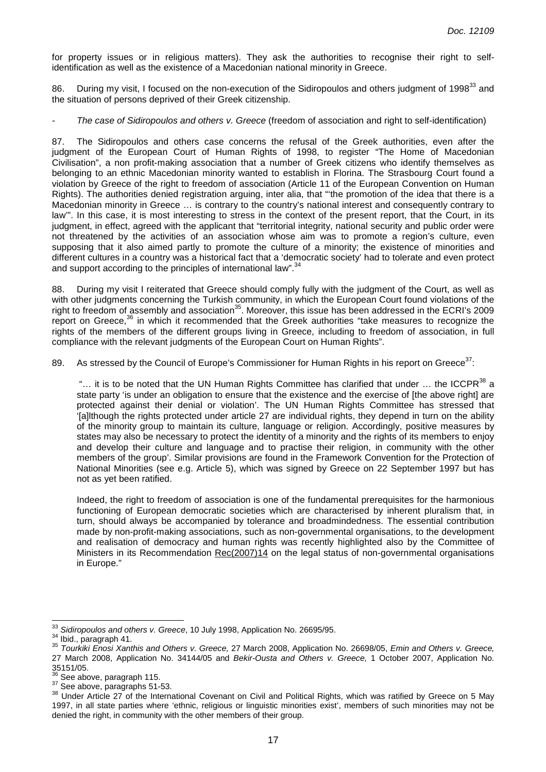for property issues or in religious matters). They ask the authorities to recognise their right to selfidentification as well as the existence of a Macedonian national minority in Greece.

86. During my visit, I focused on the non-execution of the Sidiropoulos and others judgment of 1998<sup>33</sup> and the situation of persons deprived of their Greek citizenship.

The case of Sidiropoulos and others v. Greece (freedom of association and right to self-identification)

87. The Sidiropoulos and others case concerns the refusal of the Greek authorities, even after the judgment of the European Court of Human Rights of 1998, to register "The Home of Macedonian Civilisation", a non profit-making association that a number of Greek citizens who identify themselves as belonging to an ethnic Macedonian minority wanted to establish in Florina. The Strasbourg Court found a violation by Greece of the right to freedom of association (Article 11 of the European Convention on Human Rights). The authorities denied registration arguing, inter alia, that "'the promotion of the idea that there is a Macedonian minority in Greece … is contrary to the country's national interest and consequently contrary to law'". In this case, it is most interesting to stress in the context of the present report, that the Court, in its judgment, in effect, agreed with the applicant that "territorial integrity, national security and public order were not threatened by the activities of an association whose aim was to promote a region's culture, even supposing that it also aimed partly to promote the culture of a minority; the existence of minorities and different cultures in a country was a historical fact that a 'democratic society' had to tolerate and even protect and support according to the principles of international law".<sup>34</sup>

88. During my visit I reiterated that Greece should comply fully with the judgment of the Court, as well as with other judgments concerning the Turkish community, in which the European Court found violations of the right to freedom of assembly and association<sup>35</sup>. Moreover, this issue has been addressed in the ECRI's 2009 report on Greece,<sup>36</sup> in which it recommended that the Greek authorities "take measures to recognize the rights of the members of the different groups living in Greece, including to freedom of association, in full compliance with the relevant judgments of the European Court on Human Rights".

89. As stressed by the Council of Europe's Commissioner for Human Rights in his report on Greece<sup>37</sup>:

"... it is to be noted that the UN Human Rights Committee has clarified that under ... the ICCPR<sup>38</sup> a state party 'is under an obligation to ensure that the existence and the exercise of [the above right] are protected against their denial or violation'. The UN Human Rights Committee has stressed that '[a]lthough the rights protected under article 27 are individual rights, they depend in turn on the ability of the minority group to maintain its culture, language or religion. Accordingly, positive measures by states may also be necessary to protect the identity of a minority and the rights of its members to enjoy and develop their culture and language and to practise their religion, in community with the other members of the group'. Similar provisions are found in the Framework Convention for the Protection of National Minorities (see e.g. Article 5), which was signed by Greece on 22 September 1997 but has not as yet been ratified.

Indeed, the right to freedom of association is one of the fundamental prerequisites for the harmonious functioning of European democratic societies which are characterised by inherent pluralism that, in turn, should always be accompanied by tolerance and broadmindedness. The essential contribution made by non-profit-making associations, such as non-governmental organisations, to the development and realisation of democracy and human rights was recently highlighted also by the Committee of Ministers in its Recommendation Rec(2007)14 on the legal status of non-governmental organisations in Europe."

 $\frac{33}{2}$  Sidiropoulos and others v. Greece, 10 July 1998, Application No. 26695/95.

 $34$  Ibid., paragraph 41.

<sup>35</sup> Tourkiki Enosi Xanthis and Others v. Greece, 27 March 2008, Application No. 26698/05, Emin and Others v. Greece, 27 March 2008, Application No. 34144/05 and Bekir-Ousta and Others v. Greece, 1 October 2007, Application No. 35151/05.

See above, paragraph 115.

<sup>&</sup>lt;sup>37</sup> See above, paragraphs 51-53.

<sup>&</sup>lt;sup>38</sup> Under Article 27 of the International Covenant on Civil and Political Rights, which was ratified by Greece on 5 May 1997, in all state parties where 'ethnic, religious or linguistic minorities exist', members of such minorities may not be denied the right, in community with the other members of their group.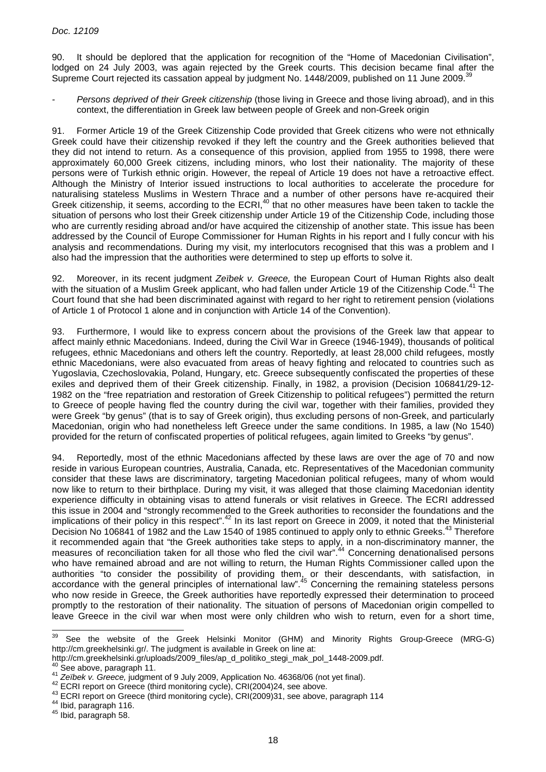90. It should be deplored that the application for recognition of the "Home of Macedonian Civilisation", lodged on 24 July 2003, was again rejected by the Greek courts. This decision became final after the Supreme Court rejected its cassation appeal by judgment No. 1448/2009, published on 11 June 2009.<sup>31</sup>

Persons deprived of their Greek citizenship (those living in Greece and those living abroad), and in this context, the differentiation in Greek law between people of Greek and non-Greek origin

91. Former Article 19 of the Greek Citizenship Code provided that Greek citizens who were not ethnically Greek could have their citizenship revoked if they left the country and the Greek authorities believed that they did not intend to return. As a consequence of this provision, applied from 1955 to 1998, there were approximately 60,000 Greek citizens, including minors, who lost their nationality. The majority of these persons were of Turkish ethnic origin. However, the repeal of Article 19 does not have a retroactive effect. Although the Ministry of Interior issued instructions to local authorities to accelerate the procedure for naturalising stateless Muslims in Western Thrace and a number of other persons have re-acquired their Greek citizenship, it seems, according to the ECRI,<sup>40</sup> that no other measures have been taken to tackle the situation of persons who lost their Greek citizenship under Article 19 of the Citizenship Code, including those who are currently residing abroad and/or have acquired the citizenship of another state. This issue has been addressed by the Council of Europe Commissioner for Human Rights in his report and I fully concur with his analysis and recommendations. During my visit, my interlocutors recognised that this was a problem and I also had the impression that the authorities were determined to step up efforts to solve it.

92. Moreover, in its recent judgment Zeïbek v. Greece, the European Court of Human Rights also dealt with the situation of a Muslim Greek applicant, who had fallen under Article 19 of the Citizenship Code.<sup>41</sup> The Court found that she had been discriminated against with regard to her right to retirement pension (violations of Article 1 of Protocol 1 alone and in conjunction with Article 14 of the Convention).

93. Furthermore, I would like to express concern about the provisions of the Greek law that appear to affect mainly ethnic Macedonians. Indeed, during the Civil War in Greece (1946-1949), thousands of political refugees, ethnic Macedonians and others left the country. Reportedly, at least 28,000 child refugees, mostly ethnic Macedonians, were also evacuated from areas of heavy fighting and relocated to countries such as Yugoslavia, Czechoslovakia, Poland, Hungary, etc. Greece subsequently confiscated the properties of these exiles and deprived them of their Greek citizenship. Finally, in 1982, a provision (Decision 106841/29-12- 1982 on the "free repatriation and restoration of Greek Citizenship to political refugees") permitted the return to Greece of people having fled the country during the civil war, together with their families, provided they were Greek "by genus" (that is to say of Greek origin), thus excluding persons of non-Greek, and particularly Macedonian, origin who had nonetheless left Greece under the same conditions. In 1985, a law (No 1540) provided for the return of confiscated properties of political refugees, again limited to Greeks "by genus".

94. Reportedly, most of the ethnic Macedonians affected by these laws are over the age of 70 and now reside in various European countries, Australia, Canada, etc. Representatives of the Macedonian community consider that these laws are discriminatory, targeting Macedonian political refugees, many of whom would now like to return to their birthplace. During my visit, it was alleged that those claiming Macedonian identity experience difficulty in obtaining visas to attend funerals or visit relatives in Greece. The ECRI addressed this issue in 2004 and "strongly recommended to the Greek authorities to reconsider the foundations and the implications of their policy in this respect".<sup>42</sup> In its last report on Greece in 2009, it noted that the Ministerial Decision No 106841 of 1982 and the Law 1540 of 1985 continued to apply only to ethnic Greeks.<sup>43</sup> Therefore it recommended again that "the Greek authorities take steps to apply, in a non-discriminatory manner, the measures of reconciliation taken for all those who fled the civil war".<sup>44</sup> Concerning denationalised persons who have remained abroad and are not willing to return, the Human Rights Commissioner called upon the authorities "to consider the possibility of providing them, or their descendants, with satisfaction, in accordance with the general principles of international law".<sup>45</sup> Concerning the remaining stateless persons who now reside in Greece, the Greek authorities have reportedly expressed their determination to proceed promptly to the restoration of their nationality. The situation of persons of Macedonian origin compelled to leave Greece in the civil war when most were only children who wish to return, even for a short time,

<sup>39</sup> <sup>39</sup> See the website of the Greek Helsinki Monitor (GHM) and Minority Rights Group-Greece (MRG-G) http://cm.greekhelsinki.gr/. The judgment is available in Greek on line at:

http://cm.greekhelsinki.gr/uploads/2009\_files/ap\_d\_politiko\_stegi\_mak\_pol\_1448-2009.pdf.

<sup>40</sup> See above, paragraph 11.

<sup>41</sup> Zeïbek v. Greece, judgment of 9 July 2009, Application No. 46368/06 (not yet final).

<sup>42</sup> ECRI report on Greece (third monitoring cycle), CRI(2004)24, see above.

<sup>&</sup>lt;sup>43</sup> ECRI report on Greece (third monitoring cycle), CRI(2009)31, see above, paragraph 114

<sup>44</sup> Ibid, paragraph 116.

<sup>45</sup> Ibid, paragraph 58.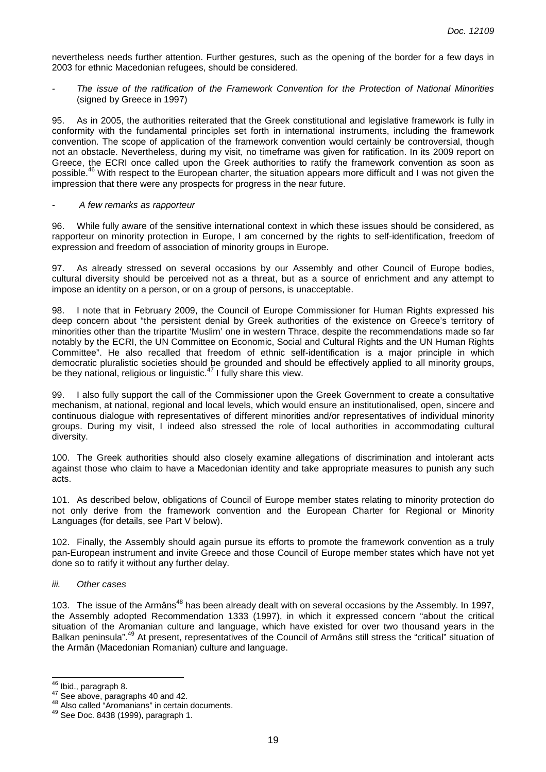nevertheless needs further attention. Further gestures, such as the opening of the border for a few days in 2003 for ethnic Macedonian refugees, should be considered.

- The issue of the ratification of the Framework Convention for the Protection of National Minorities (signed by Greece in 1997)

95. As in 2005, the authorities reiterated that the Greek constitutional and legislative framework is fully in conformity with the fundamental principles set forth in international instruments, including the framework convention. The scope of application of the framework convention would certainly be controversial, though not an obstacle. Nevertheless, during my visit, no timeframe was given for ratification. In its 2009 report on Greece, the ECRI once called upon the Greek authorities to ratify the framework convention as soon as possible.<sup>46</sup> With respect to the European charter, the situation appears more difficult and I was not given the impression that there were any prospects for progress in the near future.

## A few remarks as rapporteur

96. While fully aware of the sensitive international context in which these issues should be considered, as rapporteur on minority protection in Europe, I am concerned by the rights to self-identification, freedom of expression and freedom of association of minority groups in Europe.

97. As already stressed on several occasions by our Assembly and other Council of Europe bodies, cultural diversity should be perceived not as a threat, but as a source of enrichment and any attempt to impose an identity on a person, or on a group of persons, is unacceptable.

98. I note that in February 2009, the Council of Europe Commissioner for Human Rights expressed his deep concern about "the persistent denial by Greek authorities of the existence on Greece's territory of minorities other than the tripartite 'Muslim' one in western Thrace, despite the recommendations made so far notably by the ECRI, the UN Committee on Economic, Social and Cultural Rights and the UN Human Rights Committee". He also recalled that freedom of ethnic self-identification is a major principle in which democratic pluralistic societies should be grounded and should be effectively applied to all minority groups, be they national, religious or linguistic.<sup>47</sup> I fully share this view.

99. I also fully support the call of the Commissioner upon the Greek Government to create a consultative mechanism, at national, regional and local levels, which would ensure an institutionalised, open, sincere and continuous dialogue with representatives of different minorities and/or representatives of individual minority groups. During my visit, I indeed also stressed the role of local authorities in accommodating cultural diversity.

100. The Greek authorities should also closely examine allegations of discrimination and intolerant acts against those who claim to have a Macedonian identity and take appropriate measures to punish any such acts.

101. As described below, obligations of Council of Europe member states relating to minority protection do not only derive from the framework convention and the European Charter for Regional or Minority Languages (for details, see Part V below).

102. Finally, the Assembly should again pursue its efforts to promote the framework convention as a truly pan-European instrument and invite Greece and those Council of Europe member states which have not yet done so to ratify it without any further delay.

#### iii. Other cases

103. The issue of the Armâns<sup>48</sup> has been already dealt with on several occasions by the Assembly. In 1997, the Assembly adopted Recommendation 1333 (1997), in which it expressed concern "about the critical situation of the Aromanian culture and language, which have existed for over two thousand years in the Balkan peninsula".<sup>49</sup> At present, representatives of the Council of Armâns still stress the "critical" situation of the Armân (Macedonian Romanian) culture and language.

<sup>&</sup>lt;sup>46</sup> Ibid., paragraph 8.

<sup>47</sup> See above, paragraphs 40 and 42.

<sup>48</sup> Also called "Aromanians" in certain documents.

<sup>49</sup> See Doc. 8438 (1999), paragraph 1.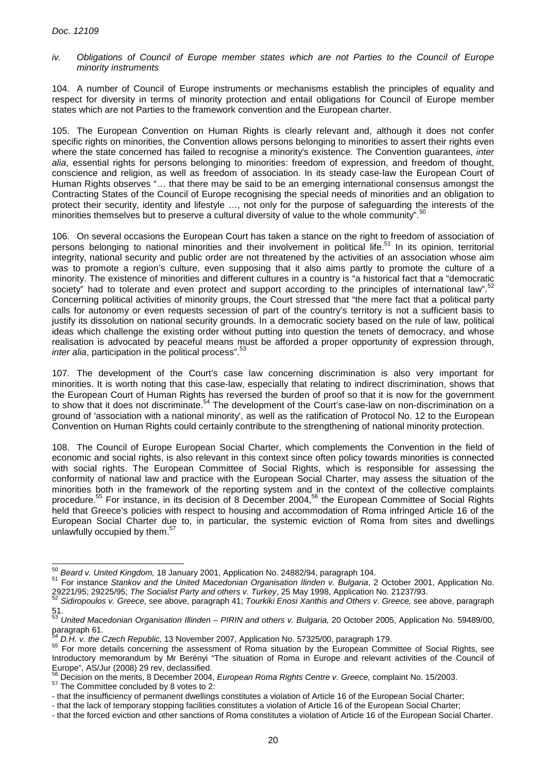## iv. Obligations of Council of Europe member states which are not Parties to the Council of Europe minority instruments

104. A number of Council of Europe instruments or mechanisms establish the principles of equality and respect for diversity in terms of minority protection and entail obligations for Council of Europe member states which are not Parties to the framework convention and the European charter.

105. The European Convention on Human Rights is clearly relevant and, although it does not confer specific rights on minorities, the Convention allows persons belonging to minorities to assert their rights even where the state concerned has failed to recognise a minority's existence. The Convention guarantees, *inter* alia, essential rights for persons belonging to minorities: freedom of expression, and freedom of thought, conscience and religion, as well as freedom of association. In its steady case-law the European Court of Human Rights observes "… that there may be said to be an emerging international consensus amongst the Contracting States of the Council of Europe recognising the special needs of minorities and an obligation to protect their security, identity and lifestyle …, not only for the purpose of safeguarding the interests of the minorities themselves but to preserve a cultural diversity of value to the whole community".<sup>50</sup>

106. On several occasions the European Court has taken a stance on the right to freedom of association of persons belonging to national minorities and their involvement in political life.<sup>51</sup> In its opinion, territorial integrity, national security and public order are not threatened by the activities of an association whose aim was to promote a region's culture, even supposing that it also aims partly to promote the culture of a minority. The existence of minorities and different cultures in a country is "a historical fact that a "democratic society" had to tolerate and even protect and support according to the principles of international law".<sup>5</sup> Concerning political activities of minority groups, the Court stressed that "the mere fact that a political party calls for autonomy or even requests secession of part of the country's territory is not a sufficient basis to justify its dissolution on national security grounds. In a democratic society based on the rule of law, political ideas which challenge the existing order without putting into question the tenets of democracy, and whose realisation is advocated by peaceful means must be afforded a proper opportunity of expression through, inter alia, participation in the political process".<sup>53</sup>

107. The development of the Court's case law concerning discrimination is also very important for minorities. It is worth noting that this case-law, especially that relating to indirect discrimination, shows that the European Court of Human Rights has reversed the burden of proof so that it is now for the government to show that it does not discriminate.<sup>54</sup> The development of the Court's case-law on non-discrimination on a ground of 'association with a national minority', as well as the ratification of Protocol No. 12 to the European Convention on Human Rights could certainly contribute to the strengthening of national minority protection.

108. The Council of Europe European Social Charter, which complements the Convention in the field of economic and social rights, is also relevant in this context since often policy towards minorities is connected with social rights. The European Committee of Social Rights, which is responsible for assessing the conformity of national law and practice with the European Social Charter, may assess the situation of the minorities both in the framework of the reporting system and in the context of the collective complaints procedure.<sup>55</sup> For instance, in its decision of 8 December 2004,<sup>56</sup> the European Committee of Social Rights held that Greece's policies with respect to housing and accommodation of Roma infringed Article 16 of the European Social Charter due to, in particular, the systemic eviction of Roma from sites and dwellings unlawfully occupied by them.<sup>5</sup>

 $\overline{a}$  $^{50}$  Beard v. United Kingdom, 18 January 2001, Application No. 24882/94, paragraph 104.

<sup>51</sup> For instance Stankov and the United Macedonian Organisation Ilinden v. Bulgaria, 2 October 2001, Application No. 29221/95; 29225/95; The Socialist Party and others v. Turkey, 25 May 1998, Application No. 21237/93.

 $52$  Sidiropoulos v. Greece, see above, paragraph 41; Tourkiki Enosi Xanthis and Others v. Greece, see above, paragraph 51.

<sup>&</sup>lt;sup>53</sup> United Macedonian Organisation Illinden – PIRIN and others v. Bulgaria, 20 October 2005, Application No. 59489/00, paragraph 61.

<sup>54</sup> D.H. v. the Czech Republic, 13 November 2007, Application No. 57325/00, paragraph 179.

<sup>55</sup> For more details concerning the assessment of Roma situation by the European Committee of Social Rights, see Introductory memorandum by Mr Berényi "The situation of Roma in Europe and relevant activities of the Council of Europe", AS/Jur (2008) 29 rev, declassified.

Decision on the merits, 8 December 2004, *European Roma Rights Centre v. Greece,* complaint No. 15/2003.

<sup>57</sup> The Committee concluded by 8 votes to 2:

<sup>-</sup> that the insufficiency of permanent dwellings constitutes a violation of Article 16 of the European Social Charter;

<sup>-</sup> that the lack of temporary stopping facilities constitutes a violation of Article 16 of the European Social Charter;

<sup>-</sup> that the forced eviction and other sanctions of Roma constitutes a violation of Article 16 of the European Social Charter.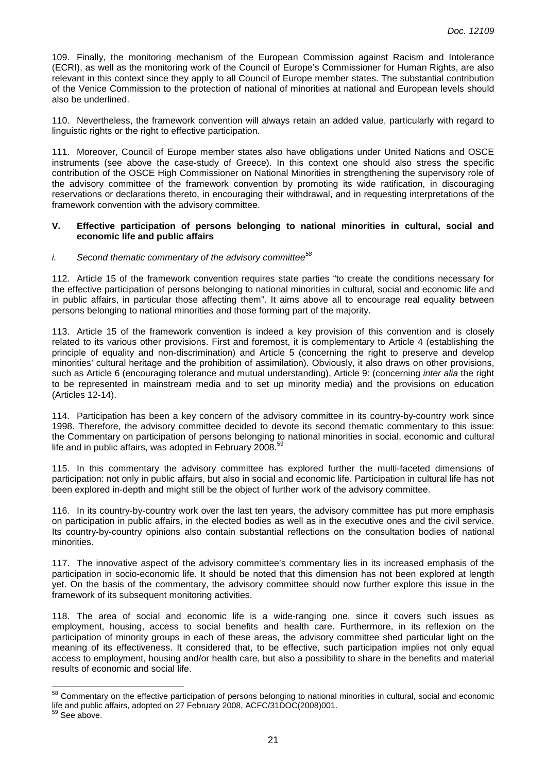109. Finally, the monitoring mechanism of the European Commission against Racism and Intolerance (ECRI), as well as the monitoring work of the Council of Europe's Commissioner for Human Rights, are also relevant in this context since they apply to all Council of Europe member states. The substantial contribution of the Venice Commission to the protection of national of minorities at national and European levels should also be underlined.

110. Nevertheless, the framework convention will always retain an added value, particularly with regard to linguistic rights or the right to effective participation.

111. Moreover, Council of Europe member states also have obligations under United Nations and OSCE instruments (see above the case-study of Greece). In this context one should also stress the specific contribution of the OSCE High Commissioner on National Minorities in strengthening the supervisory role of the advisory committee of the framework convention by promoting its wide ratification, in discouraging reservations or declarations thereto, in encouraging their withdrawal, and in requesting interpretations of the framework convention with the advisory committee.

## **V. Effective participation of persons belonging to national minorities in cultural, social and economic life and public affairs**

## i. Second thematic commentary of the advisory committee<sup>58</sup>

112. Article 15 of the framework convention requires state parties "to create the conditions necessary for the effective participation of persons belonging to national minorities in cultural, social and economic life and in public affairs, in particular those affecting them". It aims above all to encourage real equality between persons belonging to national minorities and those forming part of the majority.

113. Article 15 of the framework convention is indeed a key provision of this convention and is closely related to its various other provisions. First and foremost, it is complementary to Article 4 (establishing the principle of equality and non-discrimination) and Article 5 (concerning the right to preserve and develop minorities' cultural heritage and the prohibition of assimilation). Obviously, it also draws on other provisions, such as Article 6 (encouraging tolerance and mutual understanding), Article 9: (concerning *inter alia* the right to be represented in mainstream media and to set up minority media) and the provisions on education (Articles 12-14).

114. Participation has been a key concern of the advisory committee in its country-by-country work since 1998. Therefore, the advisory committee decided to devote its second thematic commentary to this issue: the Commentary on participation of persons belonging to national minorities in social, economic and cultural life and in public affairs, was adopted in February 2008.<sup>59</sup>

115. In this commentary the advisory committee has explored further the multi-faceted dimensions of participation: not only in public affairs, but also in social and economic life. Participation in cultural life has not been explored in-depth and might still be the object of further work of the advisory committee.

116. In its country-by-country work over the last ten years, the advisory committee has put more emphasis on participation in public affairs, in the elected bodies as well as in the executive ones and the civil service. Its country-by-country opinions also contain substantial reflections on the consultation bodies of national minorities.

117. The innovative aspect of the advisory committee's commentary lies in its increased emphasis of the participation in socio-economic life. It should be noted that this dimension has not been explored at length yet. On the basis of the commentary, the advisory committee should now further explore this issue in the framework of its subsequent monitoring activities.

118. The area of social and economic life is a wide-ranging one, since it covers such issues as employment, housing, access to social benefits and health care. Furthermore, in its reflexion on the participation of minority groups in each of these areas, the advisory committee shed particular light on the meaning of its effectiveness. It considered that, to be effective, such participation implies not only equal access to employment, housing and/or health care, but also a possibility to share in the benefits and material results of economic and social life.

<sup>58</sup> Commentary on the effective participation of persons belonging to national minorities in cultural, social and economic life and public affairs, adopted on 27 February 2008, ACFC/31DOC(2008)001.

 $59$  See above.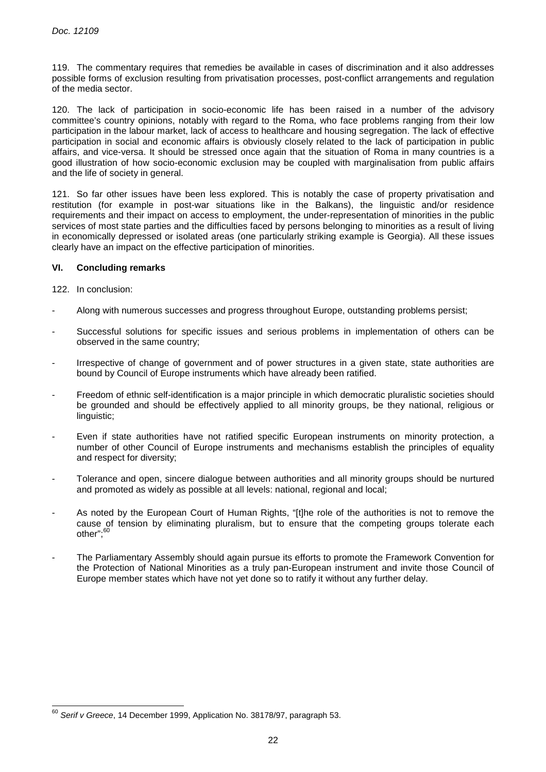119. The commentary requires that remedies be available in cases of discrimination and it also addresses possible forms of exclusion resulting from privatisation processes, post-conflict arrangements and regulation of the media sector.

120. The lack of participation in socio-economic life has been raised in a number of the advisory committee's country opinions, notably with regard to the Roma, who face problems ranging from their low participation in the labour market, lack of access to healthcare and housing segregation. The lack of effective participation in social and economic affairs is obviously closely related to the lack of participation in public affairs, and vice-versa. It should be stressed once again that the situation of Roma in many countries is a good illustration of how socio-economic exclusion may be coupled with marginalisation from public affairs and the life of society in general.

121. So far other issues have been less explored. This is notably the case of property privatisation and restitution (for example in post-war situations like in the Balkans), the linguistic and/or residence requirements and their impact on access to employment, the under-representation of minorities in the public services of most state parties and the difficulties faced by persons belonging to minorities as a result of living in economically depressed or isolated areas (one particularly striking example is Georgia). All these issues clearly have an impact on the effective participation of minorities.

# **VI. Concluding remarks**

- 122. In conclusion:
- Along with numerous successes and progress throughout Europe, outstanding problems persist;
- Successful solutions for specific issues and serious problems in implementation of others can be observed in the same country;
- Irrespective of change of government and of power structures in a given state, state authorities are bound by Council of Europe instruments which have already been ratified.
- Freedom of ethnic self-identification is a major principle in which democratic pluralistic societies should be grounded and should be effectively applied to all minority groups, be they national, religious or linguistic;
- Even if state authorities have not ratified specific European instruments on minority protection, a number of other Council of Europe instruments and mechanisms establish the principles of equality and respect for diversity;
- Tolerance and open, sincere dialogue between authorities and all minority groups should be nurtured and promoted as widely as possible at all levels: national, regional and local;
- As noted by the European Court of Human Rights, "[t]he role of the authorities is not to remove the cause of tension by eliminating pluralism, but to ensure that the competing groups tolerate each other":<sup>60</sup>
- The Parliamentary Assembly should again pursue its efforts to promote the Framework Convention for the Protection of National Minorities as a truly pan-European instrument and invite those Council of Europe member states which have not yet done so to ratify it without any further delay.

 $\overline{a}$  $^{60}$  Serif v Greece, 14 December 1999, Application No. 38178/97, paragraph 53.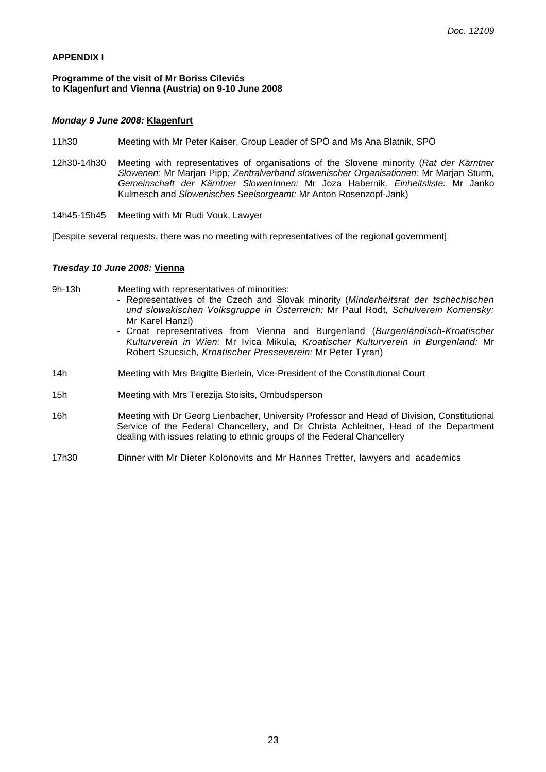#### **APPENDIX I**

# **Programme of the visit of Mr Boriss Cilevičs to Klagenfurt and Vienna (Austria) on 9-10 June 2008**

#### **Monday 9 June 2008: Klagenfurt**

- 11h30 Meeting with Mr Peter Kaiser, Group Leader of SPÖ and Ms Ana Blatnik, SPÖ
- 12h30-14h30 Meeting with representatives of organisations of the Slovene minority (Rat der Kärntner Slowenen: Mr Marjan Pipp; Zentralverband slowenischer Organisationen: Mr Marjan Sturm, Gemeinschaft der Kärntner SlowenInnen: Mr Joza Habernik, Einheitsliste: Mr Janko Kulmesch and Slowenisches Seelsorgeamt: Mr Anton Rosenzopf-Jank)
- 14h45-15h45 Meeting with Mr Rudi Vouk, Lawyer

[Despite several requests, there was no meeting with representatives of the regional government]

#### **Tuesday 10 June 2008: Vienna**

- 
- 9h-13h Meeting with representatives of minorities:
	- Representatives of the Czech and Slovak minority (Minderheitsrat der tschechischen und slowakischen Volksgruppe in Österreich: Mr Paul Rodt, Schulverein Komensky: Mr Karel Hanzl)
	- Croat representatives from Vienna and Burgenland (Burgenländisch-Kroatischer Kulturverein in Wien: Mr Ivica Mikula, Kroatischer Kulturverein in Burgenland: Mr Robert Szucsich, Kroatischer Presseverein: Mr Peter Tyran)
- 14h Meeting with Mrs Brigitte Bierlein, Vice-President of the Constitutional Court
- 15h Meeting with Mrs Terezija Stoisits, Ombudsperson
- 16h Meeting with Dr Georg Lienbacher, University Professor and Head of Division, Constitutional Service of the Federal Chancellery, and Dr Christa Achleitner, Head of the Department dealing with issues relating to ethnic groups of the Federal Chancellery
- 17h30 Dinner with Mr Dieter Kolonovits and Mr Hannes Tretter, lawyers and academics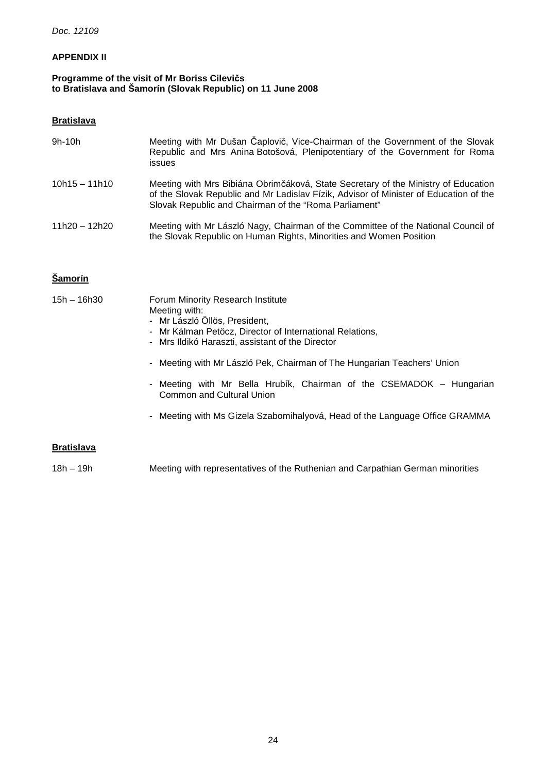# **APPENDIX II**

# **Programme of the visit of Mr Boriss Cilevičs to Bratislava and Šamorín (Slovak Republic) on 11 June 2008**

# **Bratislava**

| $9h-10h$        | Meeting with Mr Dušan Čaplovič, Vice-Chairman of the Government of the Slovak<br>Republic and Mrs Anina Botošová, Plenipotentiary of the Government for Roma<br><i>issues</i>                                                        |
|-----------------|--------------------------------------------------------------------------------------------------------------------------------------------------------------------------------------------------------------------------------------|
| $10h15 - 11h10$ | Meeting with Mrs Bibiána Obrimčáková, State Secretary of the Ministry of Education<br>of the Slovak Republic and Mr Ladislav Fízik, Advisor of Minister of Education of the<br>Slovak Republic and Chairman of the "Roma Parliament" |
| 11h20 – 12h20   | Meeting with Mr László Nagy, Chairman of the Committee of the National Council of<br>the Slovak Republic on Human Rights, Minorities and Women Position                                                                              |

# **Šamorín**

| 15h – 16h30       | Forum Minority Research Institute<br>Meeting with:<br>- Mr László Öllös, President,<br>- Mr Kálman Petöcz, Director of International Relations,<br>- Mrs Ildikó Haraszti, assistant of the Director<br>- Meeting with Mr László Pek, Chairman of The Hungarian Teachers' Union<br>- Meeting with Mr Bella Hrubík, Chairman of the CSEMADOK - Hungarian |
|-------------------|--------------------------------------------------------------------------------------------------------------------------------------------------------------------------------------------------------------------------------------------------------------------------------------------------------------------------------------------------------|
|                   | Common and Cultural Union<br>- Meeting with Ms Gizela Szabomihalyová, Head of the Language Office GRAMMA                                                                                                                                                                                                                                               |
| <b>Bratislava</b> |                                                                                                                                                                                                                                                                                                                                                        |

18h – 19h Meeting with representatives of the Ruthenian and Carpathian German minorities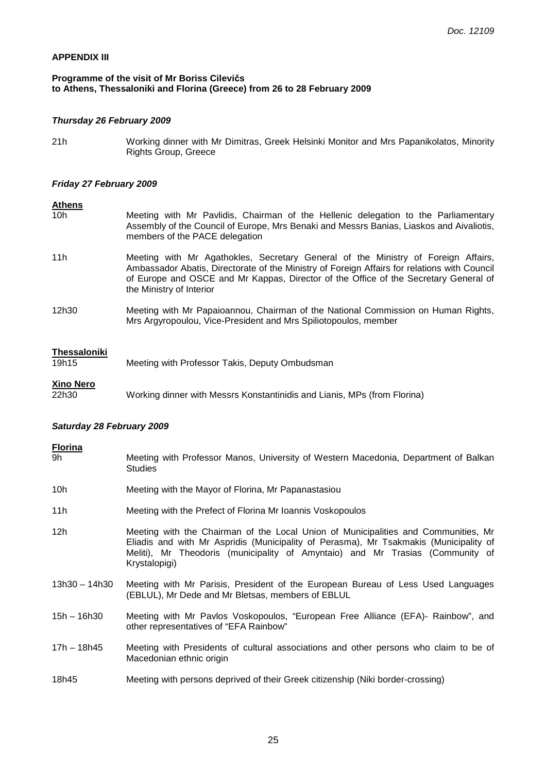#### **APPENDIX III**

## **Programme of the visit of Mr Boriss Cilevičs to Athens, Thessaloniki and Florina (Greece) from 26 to 28 February 2009**

#### **Thursday 26 February 2009**

21h Working dinner with Mr Dimitras, Greek Helsinki Monitor and Mrs Papanikolatos, Minority Rights Group, Greece

#### **Friday 27 February 2009**

#### **Athens**

- 10h Meeting with Mr Pavlidis, Chairman of the Hellenic delegation to the Parliamentary Assembly of the Council of Europe, Mrs Benaki and Messrs Banias, Liaskos and Aivaliotis, members of the PACE delegation
- 11h Meeting with Mr Agathokles, Secretary General of the Ministry of Foreign Affairs, Ambassador Abatis, Directorate of the Ministry of Foreign Affairs for relations with Council of Europe and OSCE and Mr Kappas, Director of the Office of the Secretary General of the Ministry of Interior
- 12h30 Meeting with Mr Papaioannou, Chairman of the National Commission on Human Rights, Mrs Argyropoulou, Vice-President and Mrs Spiliotopoulos, member

#### **Thessaloniki**

| 19h15     | Meeting with Professor Takis, Deputy Ombudsman                           |
|-----------|--------------------------------------------------------------------------|
| Xino Nero |                                                                          |
| 22h30     | Working dinner with Messrs Konstantinidis and Lianis, MPs (from Florina) |

#### **Saturday 28 February 2009**

#### **Florina**

9h Meeting with Professor Manos, University of Western Macedonia, Department of Balkan **Studies** 10h Meeting with the Mayor of Florina, Mr Papanastasiou 11h Meeting with the Prefect of Florina Mr Ioannis Voskopoulos 12h Meeting with the Chairman of the Local Union of Municipalities and Communities, Mr Eliadis and with Mr Aspridis (Municipality of Perasma), Mr Tsakmakis (Municipality of Meliti), Mr Theodoris (municipality of Amyntaio) and Mr Trasias (Community of Krystalopigi) 13h30 – 14h30 Meeting with Mr Parisis, President of the European Bureau of Less Used Languages (EBLUL), Mr Dede and Mr Bletsas, members of EBLUL 15h – 16h30 Meeting with Mr Pavlos Voskopoulos, "European Free Alliance (EFA)- Rainbow", and other representatives of "EFA Rainbow" 17h – 18h45 Meeting with Presidents of cultural associations and other persons who claim to be of Macedonian ethnic origin 18h45 Meeting with persons deprived of their Greek citizenship (Niki border-crossing)